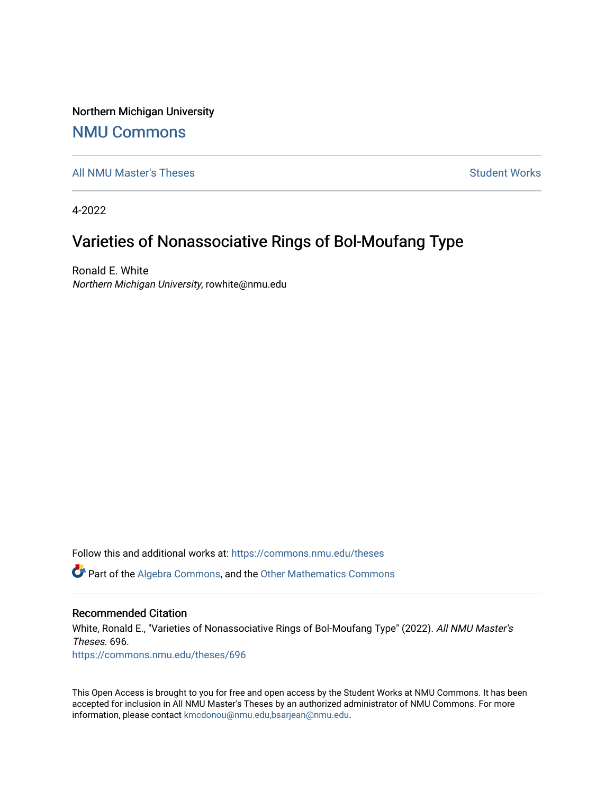Northern Michigan University

## [NMU Commons](https://commons.nmu.edu/)

[All NMU Master's Theses](https://commons.nmu.edu/theses) [Student Works](https://commons.nmu.edu/student_works) and Student Works Student Works Student Works

4-2022

# Varieties of Nonassociative Rings of Bol-Moufang Type

Ronald E. White Northern Michigan University, rowhite@nmu.edu

Follow this and additional works at: [https://commons.nmu.edu/theses](https://commons.nmu.edu/theses?utm_source=commons.nmu.edu%2Ftheses%2F696&utm_medium=PDF&utm_campaign=PDFCoverPages)

**P** Part of the [Algebra Commons,](http://network.bepress.com/hgg/discipline/175?utm_source=commons.nmu.edu%2Ftheses%2F696&utm_medium=PDF&utm_campaign=PDFCoverPages) and the Other Mathematics Commons

#### Recommended Citation

White, Ronald E., "Varieties of Nonassociative Rings of Bol-Moufang Type" (2022). All NMU Master's Theses. 696. [https://commons.nmu.edu/theses/696](https://commons.nmu.edu/theses/696?utm_source=commons.nmu.edu%2Ftheses%2F696&utm_medium=PDF&utm_campaign=PDFCoverPages) 

This Open Access is brought to you for free and open access by the Student Works at NMU Commons. It has been accepted for inclusion in All NMU Master's Theses by an authorized administrator of NMU Commons. For more information, please contact [kmcdonou@nmu.edu,bsarjean@nmu.edu](mailto:kmcdonou@nmu.edu,bsarjean@nmu.edu).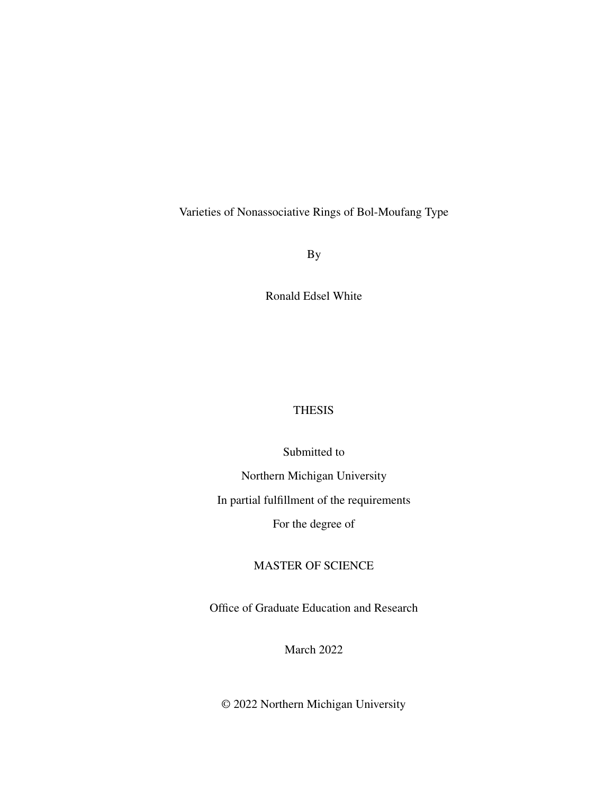<span id="page-1-1"></span><span id="page-1-0"></span>Varieties of Nonassociative Rings of Bol-Moufang Type

By

Ronald Edsel White

## THESIS

Submitted to Northern Michigan University In partial fulfillment of the requirements

For the degree of

## MASTER OF SCIENCE

Office of Graduate Education and Research

March 2022

© 2022 Northern Michigan University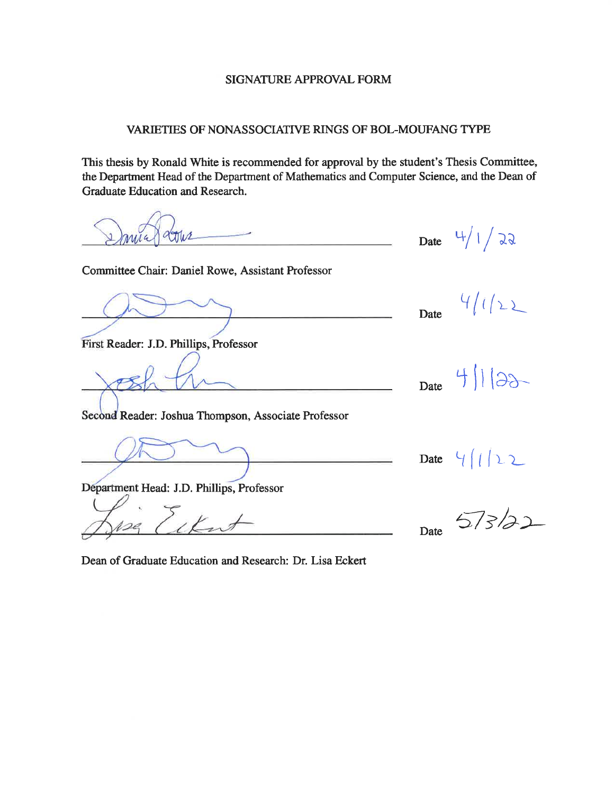#### **SIGNATURE APPROVAL FORM**

### VARIETIES OF NONASSOCIATIVE RINGS OF BOL-MOUFANG TYPE

This thesis by Ronald White is recommended for approval by the student's Thesis Committee, the Department Head of the Department of Mathematics and Computer Science, and the Dean of Graduate Education and Research.

Date  $4/1/22$ Miz Committee Chair: Daniel Rowe, Assistant Professor  $41122$ Date First Reader: J.D. Phillips, Professor  $4||3x$ Date Second Reader: Joshua Thompson, Associate Professor  $41122$ Date Department Head: J.D. Phillips, Professor 573/22 Date

Dean of Graduate Education and Research: Dr. Lisa Eckert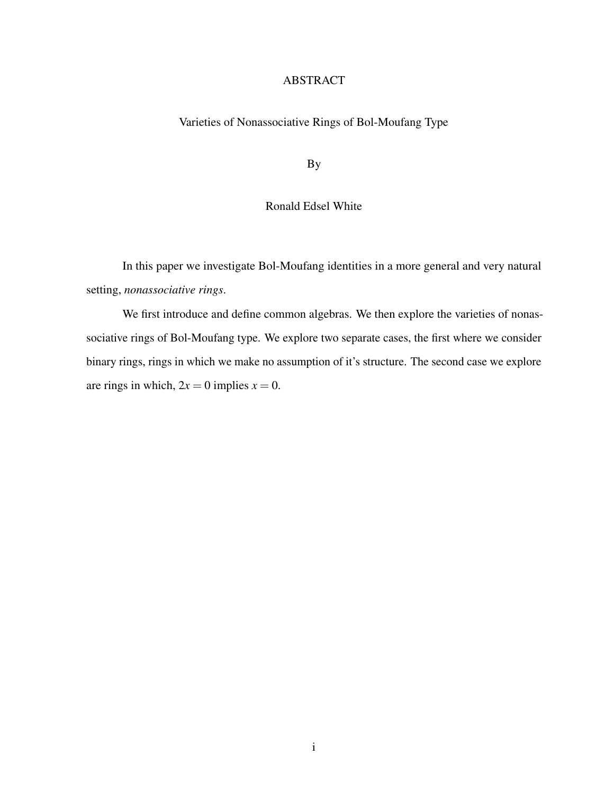#### ABSTRACT

## Varieties of Nonassociative Rings of Bol-Moufang Type

By

### Ronald Edsel White

In this paper we investigate Bol-Moufang identities in a more general and very natural setting, *nonassociative rings*.

We first introduce and define common algebras. We then explore the varieties of nonassociative rings of Bol-Moufang type. We explore two separate cases, the first where we consider binary rings, rings in which we make no assumption of it's structure. The second case we explore are rings in which,  $2x = 0$  implies  $x = 0$ .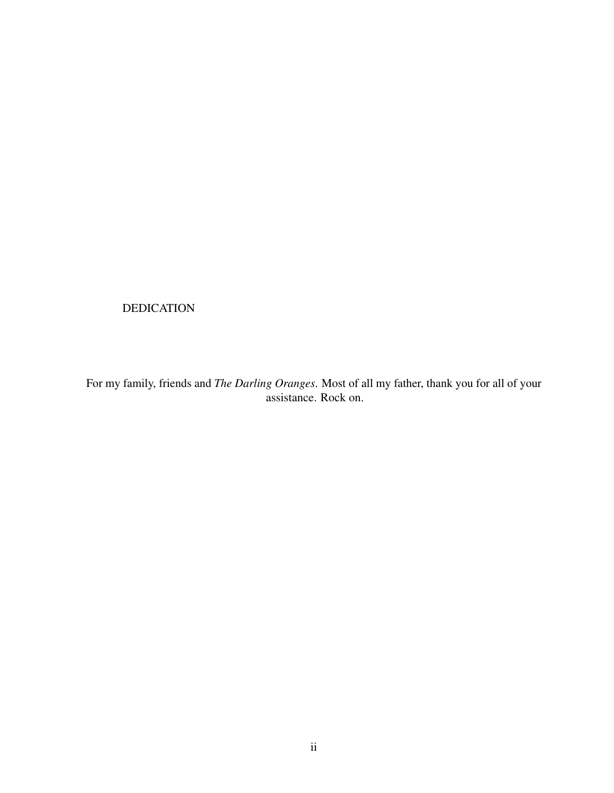## DEDICATION

For my family, friends and *The Darling Oranges*. Most of all my father, thank you for all of your assistance. Rock on.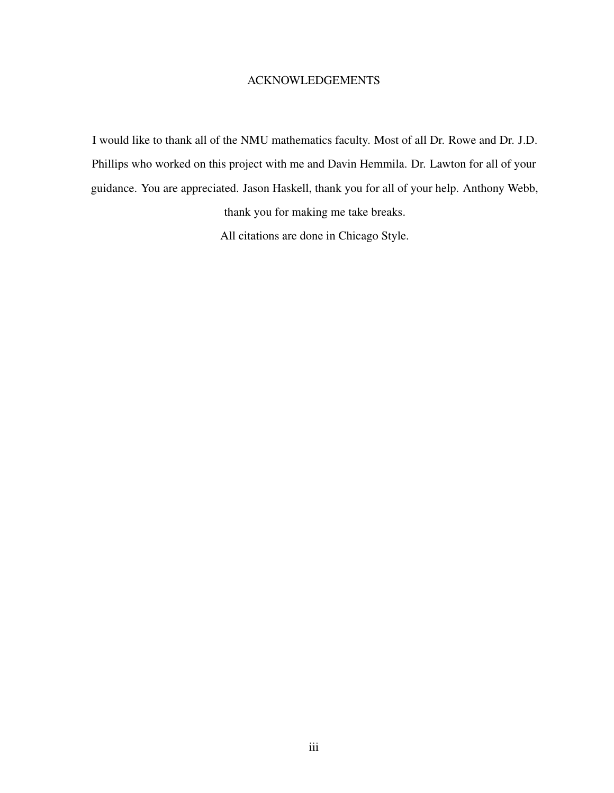#### ACKNOWLEDGEMENTS

I would like to thank all of the NMU mathematics faculty. Most of all Dr. Rowe and Dr. J.D. Phillips who worked on this project with me and Davin Hemmila. Dr. Lawton for all of your guidance. You are appreciated. Jason Haskell, thank you for all of your help. Anthony Webb,

thank you for making me take breaks.

All citations are done in Chicago Style.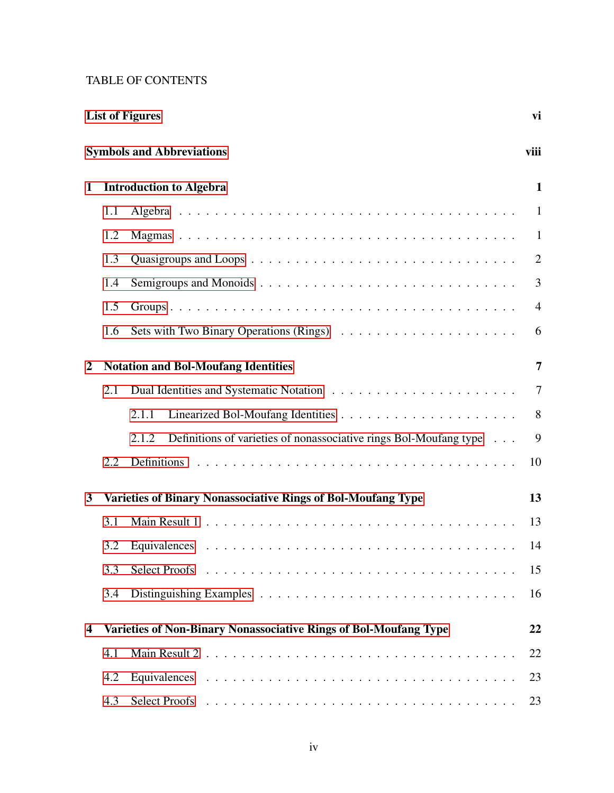## TABLE OF CONTENTS

|                |     | <b>List of Figures</b>                                                     | vi             |
|----------------|-----|----------------------------------------------------------------------------|----------------|
|                |     | <b>Symbols and Abbreviations</b>                                           | viii           |
| 1              |     | <b>Introduction to Algebra</b>                                             | $\mathbf{1}$   |
|                | 1.1 |                                                                            | $\mathbf{1}$   |
|                | 1.2 |                                                                            | $\mathbf{1}$   |
|                | 1.3 |                                                                            | $\overline{2}$ |
|                | 1.4 |                                                                            | 3              |
|                | 1.5 |                                                                            | $\overline{4}$ |
|                | 1.6 |                                                                            | 6              |
| $\overline{2}$ |     | <b>Notation and Bol-Moufang Identities</b>                                 | 7              |
|                | 2.1 |                                                                            | $\overline{7}$ |
|                |     | 2.1.1                                                                      | 8              |
|                |     | Definitions of varieties of nonassociative rings Bol-Moufang type<br>2.1.2 | 9              |
|                | 2.2 | Definitions                                                                | 10             |
| 3              |     | <b>Varieties of Binary Nonassociative Rings of Bol-Moufang Type</b>        | 13             |
|                | 3.1 |                                                                            | 13             |
|                | 3.2 |                                                                            | 14             |
|                | 3.3 |                                                                            | 15             |
|                | 3.4 |                                                                            | 16             |
| 4              |     | Varieties of Non-Binary Nonassociative Rings of Bol-Moufang Type           | 22             |
|                | 4.1 |                                                                            | 22             |
|                | 4.2 |                                                                            | 23             |
|                | 4.3 |                                                                            | 23             |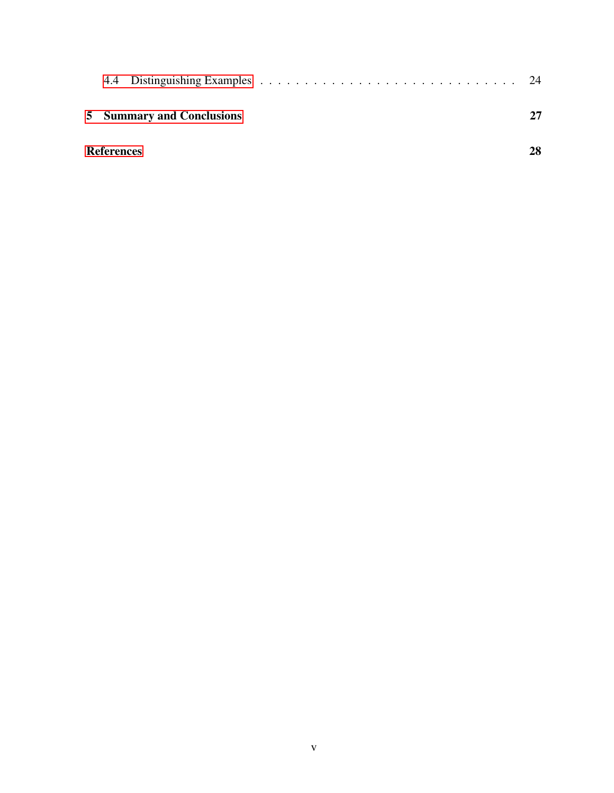| <b>5</b> Summary and Conclusions | 27 |
|----------------------------------|----|
| <b>References</b>                | 28 |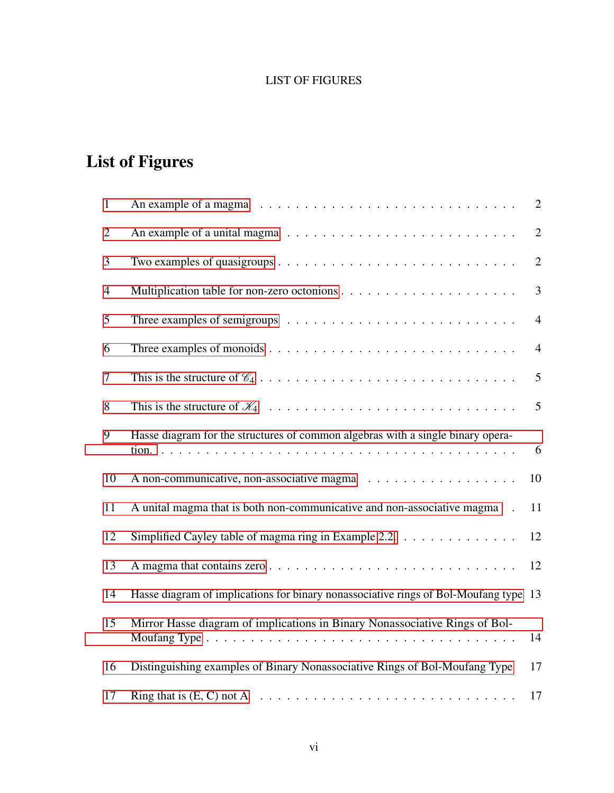## LIST OF FIGURES

# List of Figures

| $\mathbf{1}$   |                                                                                                 | $\overline{2}$ |
|----------------|-------------------------------------------------------------------------------------------------|----------------|
| $\overline{2}$ |                                                                                                 | $\overline{2}$ |
| 3              | Two examples of quasigroups $\dots \dots \dots \dots \dots \dots \dots \dots \dots \dots \dots$ | $\overline{2}$ |
| $\overline{4}$ |                                                                                                 | $\overline{3}$ |
| 5              |                                                                                                 | $\overline{4}$ |
| 6              |                                                                                                 | $\overline{4}$ |
| $\overline{7}$ |                                                                                                 | 5              |
| 8              |                                                                                                 | 5              |
| 9              | Hasse diagram for the structures of common algebras with a single binary opera-                 | 6              |
| 10             |                                                                                                 | 10             |
| 11             | A unital magma that is both non-communicative and non-associative magma                         | 11             |
| 12             | Simplified Cayley table of magma ring in Example 2.2. $\ldots$                                  | 12             |
| 13             |                                                                                                 | 12             |
| 14             | Hasse diagram of implications for binary nonassociative rings of Bol-Moufang type 13            |                |
| 15             | Mirror Hasse diagram of implications in Binary Nonassociative Rings of Bol-                     | 14             |
| 16             | Distinguishing examples of Binary Nonassociative Rings of Bol-Moufang Type                      | 17             |
| 17             |                                                                                                 | 17             |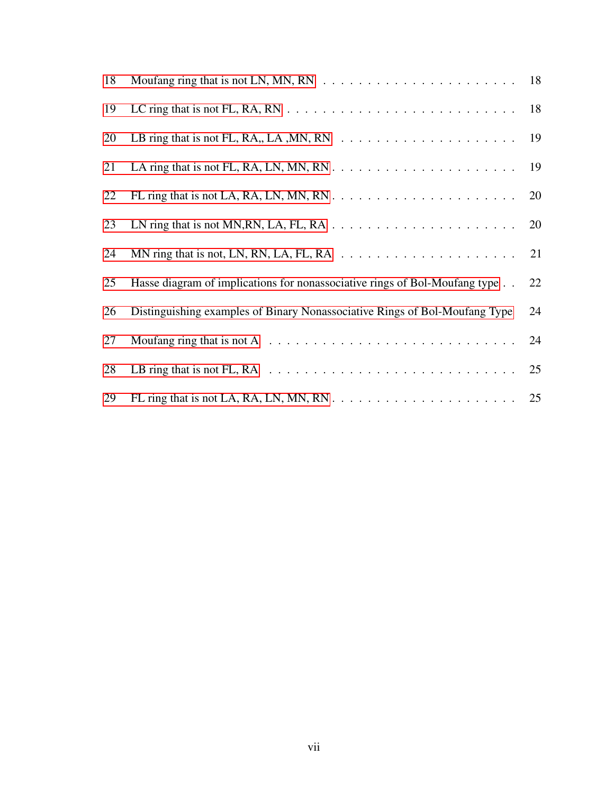| 18 | Moufang ring that is not LN, MN, RN $\ldots \ldots \ldots \ldots \ldots \ldots \ldots \ldots \ldots \ldots$ 18 |    |
|----|----------------------------------------------------------------------------------------------------------------|----|
| 19 | LC ring that is not FL, RA, RN $\ldots \ldots \ldots \ldots \ldots \ldots \ldots \ldots \ldots$                | 18 |
| 20 | LB ring that is not FL, RA,, LA, MN, RN $\ldots \ldots \ldots \ldots \ldots \ldots \ldots$                     | 19 |
| 21 |                                                                                                                |    |
| 22 |                                                                                                                | 20 |
| 23 | LN ring that is not MN, RN, LA, FL, RA $\ldots \ldots \ldots \ldots \ldots \ldots \ldots$                      | 20 |
| 24 | MN ring that is not, LN, RN, LA, FL, RA $\ldots \ldots \ldots \ldots \ldots \ldots \ldots$                     | 21 |
| 25 | Hasse diagram of implications for nonassociative rings of Bol-Moufang type                                     | 22 |
| 26 | Distinguishing examples of Binary Nonassociative Rings of Bol-Moufang Type                                     | 24 |
| 27 | Moufang ring that is not A $\dots \dots \dots \dots \dots \dots \dots \dots \dots \dots \dots$                 | 24 |
| 28 | LB ring that is not FL, RA $\ldots \ldots \ldots \ldots \ldots \ldots \ldots \ldots \ldots \ldots$             | 25 |
| 29 |                                                                                                                |    |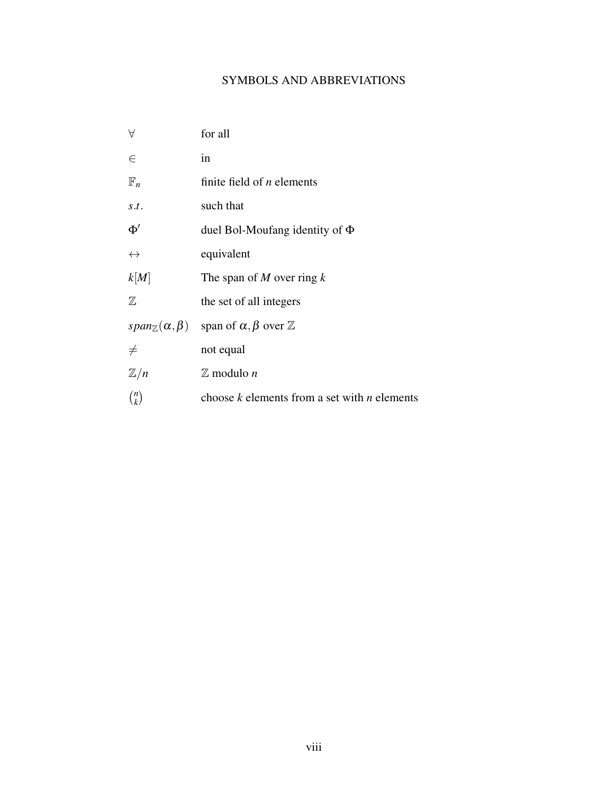## SYMBOLS AND ABBREVIATIONS

<span id="page-10-0"></span>

| A                                 | for all                                          |
|-----------------------------------|--------------------------------------------------|
| $\in$                             | in                                               |
| $\mathbb{F}_n$                    | finite field of $n$ elements                     |
| s.t.                              | such that                                        |
| $\Phi'$                           | duel Bol-Moufang identity of $\Phi$              |
| $\leftrightarrow$                 | equivalent                                       |
| k[M]                              | The span of $M$ over ring $k$                    |
| $\mathbb Z$                       | the set of all integers                          |
| $span_{\mathbb{Z}}(\alpha,\beta)$ | span of $\alpha, \beta$ over $\mathbb Z$         |
| $\neq$                            | not equal                                        |
| $\mathbb{Z}/n$                    | $\mathbb Z$ modulo <i>n</i>                      |
| $\binom{n}{k}$                    | choose $k$ elements from a set with $n$ elements |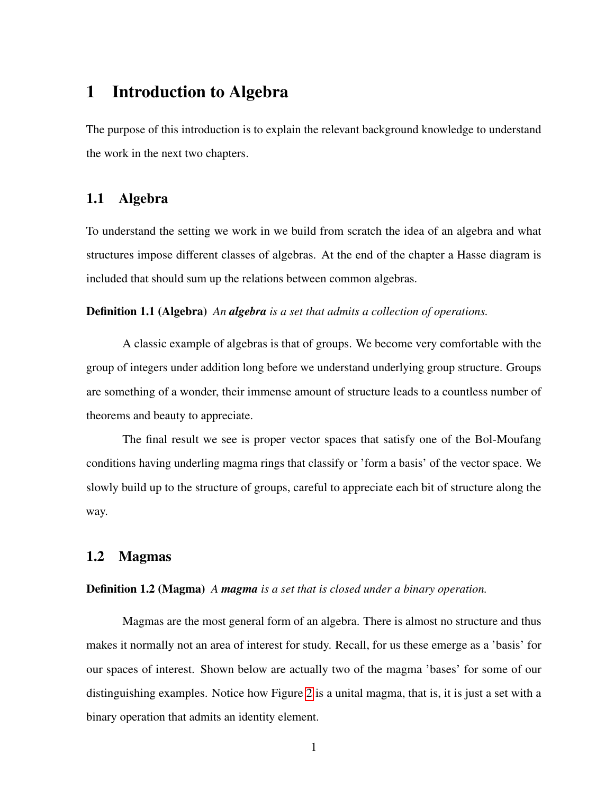## 1 Introduction to Algebra

The purpose of this introduction is to explain the relevant background knowledge to understand the work in the next two chapters.

## <span id="page-11-0"></span>1.1 Algebra

To understand the setting we work in we build from scratch the idea of an algebra and what structures impose different classes of algebras. At the end of the chapter a Hasse diagram is included that should sum up the relations between common algebras.

Definition 1.1 (Algebra) *An algebra is a set that admits a collection of operations.*

A classic example of algebras is that of groups. We become very comfortable with the group of integers under addition long before we understand underlying group structure. Groups are something of a wonder, their immense amount of structure leads to a countless number of theorems and beauty to appreciate.

The final result we see is proper vector spaces that satisfy one of the Bol-Moufang conditions having underling magma rings that classify or 'form a basis' of the vector space. We slowly build up to the structure of groups, careful to appreciate each bit of structure along the way.

#### <span id="page-11-1"></span>1.2 Magmas

#### Definition 1.2 (Magma) *A magma is a set that is closed under a binary operation.*

<span id="page-11-2"></span>Magmas are the most general form of an algebra. There is almost no structure and thus makes it normally not an area of interest for study. Recall, for us these emerge as a 'basis' for our spaces of interest. Shown below are actually two of the magma 'bases' for some of our distinguishing examples. Notice how Figure [2](#page-12-1) is a unital magma, that is, it is just a set with a binary operation that admits an identity element.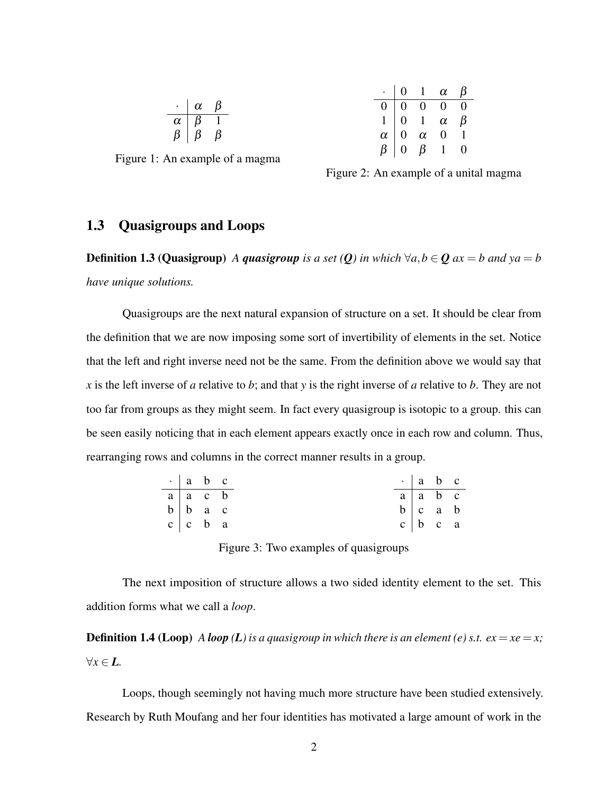|   | α | ĸ |
|---|---|---|
| α | 3 |   |
| b | 5 | ĸ |

<span id="page-12-0"></span>Figure 1: An example of a magma

|          | 0              |                | $\alpha$ | ß |
|----------|----------------|----------------|----------|---|
|          | 0              | O              | 0        |   |
|          | $\overline{0}$ |                | $\alpha$ | ß |
| $\alpha$ | $\overline{0}$ | $\alpha$       | 0        |   |
| Ŗ        | 0              | $\overline{6}$ |          |   |

<span id="page-12-1"></span>Figure 2: An example of a unital magma

## 1.3 Quasigroups and Loops

**Definition 1.3 (Quasigroup)** *A quasigroup is a set (Q) in which*  $\forall a, b \in Q$  *ax* = *b and*  $ya = b$ *have unique solutions.*

Quasigroups are the next natural expansion of structure on a set. It should be clear from the definition that we are now imposing some sort of invertibility of elements in the set. Notice that the left and right inverse need not be the same. From the definition above we would say that *x* is the left inverse of *a* relative to *b*; and that *y* is the right inverse of *a* relative to *b*. They are not too far from groups as they might seem. In fact every quasigroup is isotopic to a group. this can be seen easily noticing that in each element appears exactly once in each row and column. Thus, rearranging rows and columns in the correct manner results in a group.

| $\cdot$   a b c          |  | $\cdot$   a b c             |  |
|--------------------------|--|-----------------------------|--|
| $a \mid a \mid c \mid b$ |  | $a \mid a \mid b \mid c$    |  |
| $b \mid b \mid a \mid c$ |  | $b \vert c \vert a \vert b$ |  |
| $c \mid c \mid b \mid a$ |  | $c \mid b \mid c \mid a$    |  |

<span id="page-12-2"></span>Figure 3: Two examples of quasigroups

The next imposition of structure allows a two sided identity element to the set. This addition forms what we call a *loop*.

**Definition 1.4 (Loop)** *A loop (L)* is a quasigroup in which there is an element (e) s.t.  $ex = xe = x$ ; ∀*x* ∈ *L.*

Loops, though seemingly not having much more structure have been studied extensively. Research by Ruth Moufang and her four identities has motivated a large amount of work in the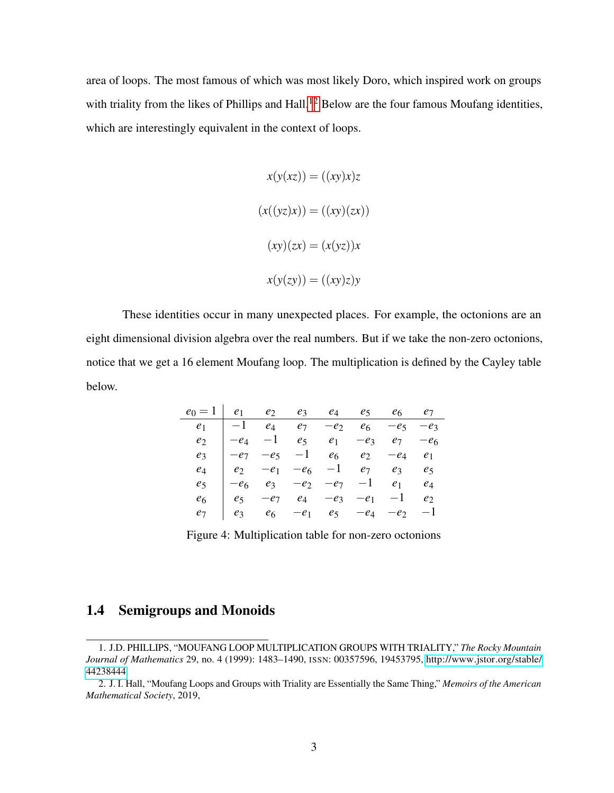area of loops. The most famous of which was most likely Doro, which inspired work on groups with triality from the likes of Phillips and Hall.<sup>[12](#page-1-1)</sup> Below are the four famous Moufang identities, which are interestingly equivalent in the context of loops.

$$
x(y(xz)) = ((xy)x)z
$$

$$
(x((yz)x)) = ((xy)(zx))
$$

$$
(xy)(zx) = (x(yz))x
$$

$$
x(y(zy)) = ((xy)z)y
$$

These identities occur in many unexpected places. For example, the octonions are an eight dimensional division algebra over the real numbers. But if we take the non-zero octonions, notice that we get a 16 element Moufang loop. The multiplication is defined by the Cayley table below.

| $e_0 = 1$      | e <sub>1</sub> | $e_2$          | e <sub>3</sub>    | $e_4$            | $e_5$             | e <sub>6</sub> | e <sub>7</sub> |
|----------------|----------------|----------------|-------------------|------------------|-------------------|----------------|----------------|
| e <sub>1</sub> | $-1$           | $e_4$          | $e_7$             | $-e_2$           | e <sub>6</sub>    | $-e5$          | $-e_3$         |
| e <sub>2</sub> | $-e_4$         | $-1$           | $e_5$             | $e_1$            | $-e_3$            | e <sub>7</sub> | $-e6$          |
| $e_3$          | $-e7$          | $-e5$          |                   | $-1$ $e_6$ $e_2$ |                   | $-e_4$         | e <sub>1</sub> |
| $\it{e}_4$     | e <sub>2</sub> | $-e_1$         |                   |                  | $-e_6$ $-1$ $e_7$ | $e_3$          | e <sub>5</sub> |
| e5             | $-e6$          |                | $e_3 - e_2 - e_7$ |                  | $-1$              | e <sub>1</sub> | $e_4$          |
| e6             | e <sub>5</sub> | $-e_7$         | $e_4$             | $-e_3$           | $-e_1$            | $-1$           | e <sub>2</sub> |
| e7             | e <sub>3</sub> | e <sub>6</sub> | $-e_1$            | $e_5$            | $-e_4$            | $-e2$          | $-1$           |

<span id="page-13-1"></span>Figure 4: Multiplication table for non-zero octonions

## <span id="page-13-0"></span>1.4 Semigroups and Monoids

<sup>1.</sup> J.D. PHILLIPS, "MOUFANG LOOP MULTIPLICATION GROUPS WITH TRIALITY," *The Rocky Mountain Journal of Mathematics* 29, no. 4 (1999): 1483–1490, ISSN: 00357596, 19453795, [http://www.jstor.org/stable/](http://www.jstor.org/stable/44238444) [44238444.](http://www.jstor.org/stable/44238444)

<sup>2.</sup> J. I. Hall, "Moufang Loops and Groups with Triality are Essentially the Same Thing," *Memoirs of the American Mathematical Society*, 2019,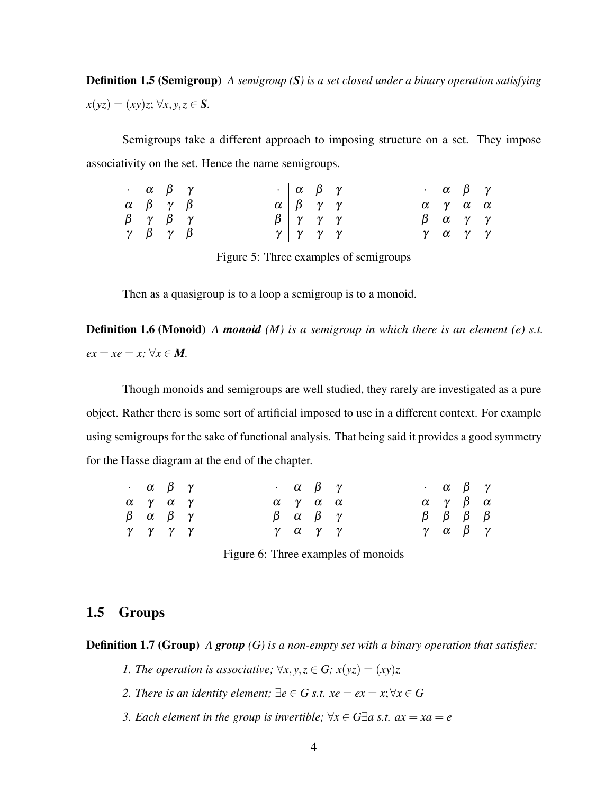Definition 1.5 (Semigroup) *A semigroup (S) is a set closed under a binary operation satisfying*  $x(yz) = (xy)z; \forall x, y, z \in S$ .

Semigroups take a different approach to imposing structure on a set. They impose associativity on the set. Hence the name semigroups.

| $\cdot$   $\alpha$   $\beta$   $\gamma$                                                                                                   |  |                                    | $\cdot$   $\alpha$   $\beta$   $\gamma$ |  |  | $\cdot$   $\alpha$   $\beta$   $\gamma$                         |  |
|-------------------------------------------------------------------------------------------------------------------------------------------|--|------------------------------------|-----------------------------------------|--|--|-----------------------------------------------------------------|--|
|                                                                                                                                           |  | $\alpha$ $\beta$ $\gamma$ $\gamma$ |                                         |  |  | $\alpha$ $\gamma$ $\alpha$ $\alpha$                             |  |
| $\begin{array}{c cc}\n\alpha & \beta & \gamma & \beta \\ \beta & \gamma & \beta & \gamma \\ \gamma & \beta & \gamma & \beta\n\end{array}$ |  |                                    | $\beta$ $\gamma$ $\gamma$ $\gamma$      |  |  | $\beta \begin{array}{ccc} \alpha & \gamma & \gamma \end{array}$ |  |
|                                                                                                                                           |  |                                    | $\gamma$ $\gamma$ $\gamma$ $\gamma$     |  |  |                                                                 |  |

<span id="page-14-1"></span>Figure 5: Three examples of semigroups

Then as a quasigroup is to a loop a semigroup is to a monoid.

Definition 1.6 (Monoid) *A monoid (M) is a semigroup in which there is an element (e) s.t.*  $ex = xe = x$ ;  $\forall x \in M$ .

Though monoids and semigroups are well studied, they rarely are investigated as a pure object. Rather there is some sort of artificial imposed to use in a different context. For example using semigroups for the sake of functional analysis. That being said it provides a good symmetry for the Hasse diagram at the end of the chapter.

| $\cdot$   $\alpha$   $\beta$   $\gamma$                        |  |  |                                                                | $\cdot$   $\alpha$   $\beta$   $\gamma$ |  | $\cdot$   $\alpha$   $\beta$   $\gamma$                         |  |
|----------------------------------------------------------------|--|--|----------------------------------------------------------------|-----------------------------------------|--|-----------------------------------------------------------------|--|
| $\alpha \gamma \alpha \gamma$                                  |  |  | $\alpha$ $\gamma$ $\alpha$ $\alpha$                            |                                         |  | $\alpha$ $\gamma$ $\beta$ $\alpha$                              |  |
| $\beta \begin{array}{ccc} \alpha & \beta & \gamma \end{array}$ |  |  | $\beta \begin{array}{ccc} \alpha & \beta & \gamma \end{array}$ |                                         |  | $\beta$   $\beta$   $\beta$   $\beta$                           |  |
| $\gamma$   $\gamma$   $\gamma$   $\gamma$                      |  |  |                                                                |                                         |  | $\gamma \begin{array}{ccc} \alpha & \beta & \gamma \end{array}$ |  |

<span id="page-14-2"></span>Figure 6: Three examples of monoids

## <span id="page-14-0"></span>1.5 Groups

Definition 1.7 (Group) *A group (G) is a non-empty set with a binary operation that satisfies:*

- *1. The operation is associative;*  $\forall x, y, z \in G$ ;  $x(yz) = (xy)z$
- *2. There is an identity element;*  $\exists e \in G$  *s.t.*  $xe = ex = x$ ;  $\forall x \in G$
- *3. Each element in the group is invertible;*  $\forall x \in G \exists a \text{ s.t. } ax = xa = e$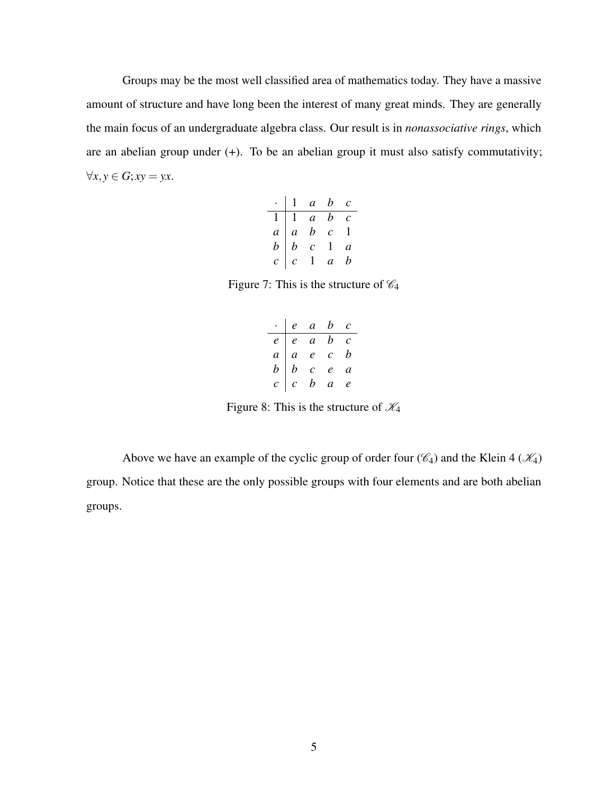Groups may be the most well classified area of mathematics today. They have a massive amount of structure and have long been the interest of many great minds. They are generally the main focus of an undergraduate algebra class. Our result is in *nonassociative rings*, which are an abelian group under (+). To be an abelian group it must also satisfy commutativity;  $∀x, y ∈ G; xy = yx.$ 

|                                        |               |                                                         | $a \quad b \quad c$ |                       |
|----------------------------------------|---------------|---------------------------------------------------------|---------------------|-----------------------|
|                                        |               | $1 \quad a \quad b$                                     |                     | $\mathcal{C}_{0}^{0}$ |
| $\begin{vmatrix} a \\ b \end{vmatrix}$ |               |                                                         | $\mathcal{C}^-$     |                       |
|                                        |               | $\begin{array}{cc} & a & b \\ a & b \\ b & \end{array}$ | $\mathbf{L}$        | $\overline{a}$        |
| $\overline{c}$                         | $\mathcal{C}$ | $\mathbf{1}$                                            | $\overline{a}$      | h                     |

Figure 7: This is the structure of  $\mathcal{C}_4$ 

<span id="page-15-0"></span>

|                     | $e$ a b c                                                                                  |                |
|---------------------|--------------------------------------------------------------------------------------------|----------------|
|                     | $\begin{array}{ c c c c c } \hline c&c&a&b&c\\ a&a&e&c&b\\ b&b&c&e&a\\ \hline \end{array}$ |                |
|                     |                                                                                            |                |
|                     |                                                                                            |                |
| $\lfloor c \rfloor$ | $\begin{array}{ccccc} c & c & c \\ c & b & a \end{array}$                                  | $\mathfrak{e}$ |

<span id="page-15-1"></span>Figure 8: This is the structure of  $\mathcal{K}_4$ 

Above we have an example of the cyclic group of order four  $(\mathcal{C}_4)$  and the Klein 4  $(\mathcal{K}_4)$ group. Notice that these are the only possible groups with four elements and are both abelian groups.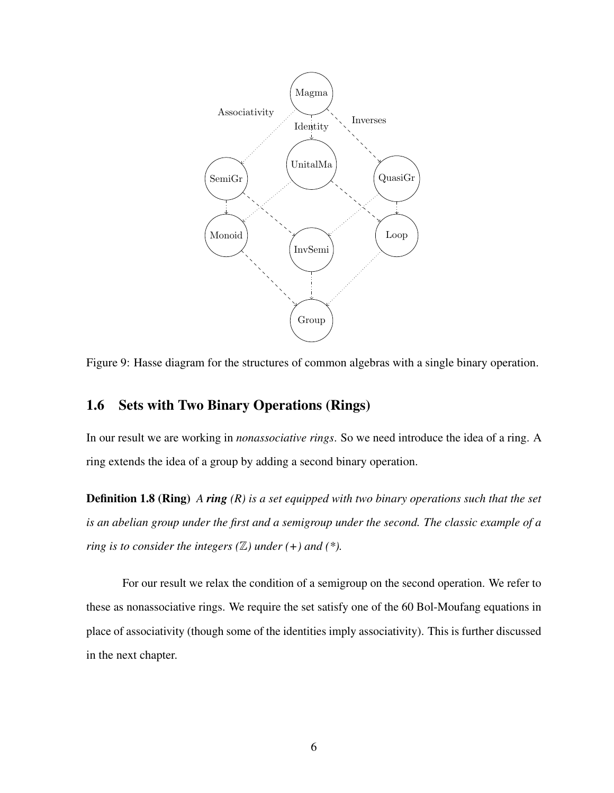

<span id="page-16-2"></span>Figure 9: Hasse diagram for the structures of common algebras with a single binary operation.

## <span id="page-16-0"></span>1.6 Sets with Two Binary Operations (Rings)

In our result we are working in *nonassociative rings*. So we need introduce the idea of a ring. A ring extends the idea of a group by adding a second binary operation.

Definition 1.8 (Ring) *A ring (R) is a set equipped with two binary operations such that the set is an abelian group under the first and a semigroup under the second. The classic example of a ring is to consider the integers (* $\mathbb{Z}$ *) under (+) and (\*).* 

<span id="page-16-1"></span>For our result we relax the condition of a semigroup on the second operation. We refer to these as nonassociative rings. We require the set satisfy one of the 60 Bol-Moufang equations in place of associativity (though some of the identities imply associativity). This is further discussed in the next chapter.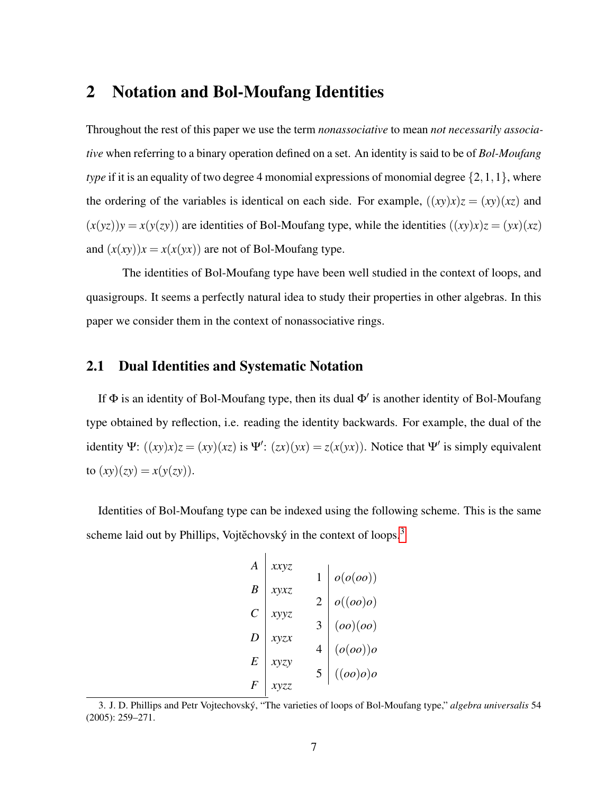## 2 Notation and Bol-Moufang Identities

Throughout the rest of this paper we use the term *nonassociative* to mean *not necessarily associative* when referring to a binary operation defined on a set. An identity is said to be of *Bol-Moufang type* if it is an equality of two degree 4 monomial expressions of monomial degree  $\{2,1,1\}$ , where the ordering of the variables is identical on each side. For example,  $((xy)x)z = (xy)(xz)$  and  $(x(yz))y = x(y(zy))$  are identities of Bol-Moufang type, while the identities  $((xy)x)z = (yx)(xz)$ and  $(x(xy))x = x(x(yx))$  are not of Bol-Moufang type.

The identities of Bol-Moufang type have been well studied in the context of loops, and quasigroups. It seems a perfectly natural idea to study their properties in other algebras. In this paper we consider them in the context of nonassociative rings.

## <span id="page-17-0"></span>2.1 Dual Identities and Systematic Notation

If  $\Phi$  is an identity of Bol-Moufang type, then its dual  $\Phi'$  is another identity of Bol-Moufang type obtained by reflection, i.e. reading the identity backwards. For example, the dual of the identity  $\Psi$ :  $((xy)x)z = (xy)(xz)$  is  $\Psi'$ :  $(zx)(yx) = z(x(yx))$ . Notice that  $\Psi'$  is simply equivalent to  $(xy)(zy) = x(y(zy)).$ 

Identities of Bol-Moufang type can be indexed using the following scheme. This is the same scheme laid out by Phillips, Vojtěchovský in the context of loops.<sup>[3](#page-1-1)</sup>

$$
\begin{array}{c|c|c}\nA & xxyz & 1 & o(o(oo)) \\
B & xyxz & 2 & o((oo)o) \\
C & xyyz & 3 & (oo)(oo) \\
D & xyzx & 4 & (o(oo))o \\
E & xyzy & 5 & ((oo)o)o \\
F & xyzz & 5 & ((oo)o)o\n\end{array}
$$

<sup>3.</sup> J. D. Phillips and Petr Vojtechovský, "The varieties of loops of Bol-Moufang type," *algebra universalis* 54 (2005): 259–271.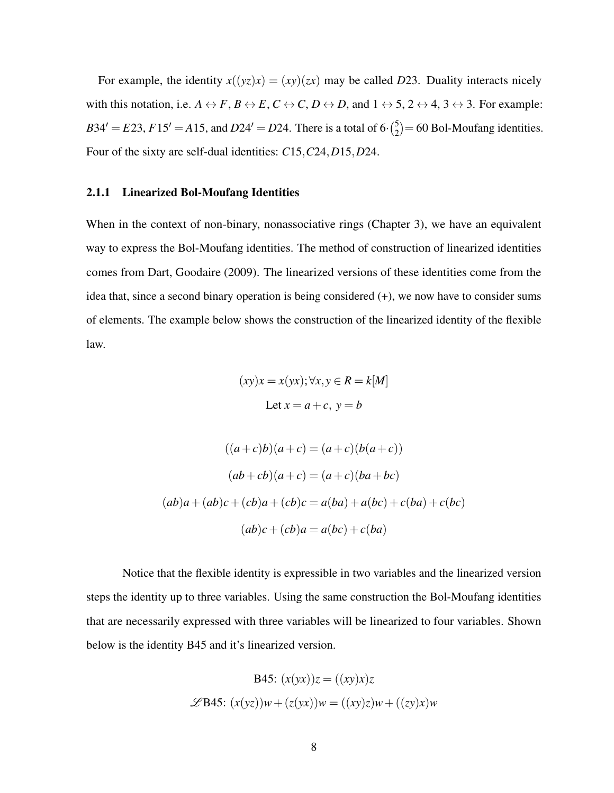For example, the identity  $x((yz)x) = (xy)(zx)$  may be called D23. Duality interacts nicely with this notation, i.e.  $A \leftrightarrow F$ ,  $B \leftrightarrow E$ ,  $C \leftrightarrow C$ ,  $D \leftrightarrow D$ , and  $1 \leftrightarrow 5$ ,  $2 \leftrightarrow 4$ ,  $3 \leftrightarrow 3$ . For example:  $B34' = E23$ ,  $F15' = A15$ , and  $D24' = D24$ . There is a total of 6· $\binom{5}{2}$  $2^{5}_{2}$  = 60 Bol-Moufang identities. Four of the sixty are self-dual identities: *C*15,*C*24,*D*15,*D*24.

#### <span id="page-18-0"></span>2.1.1 Linearized Bol-Moufang Identities

When in the context of non-binary, nonassociative rings (Chapter 3), we have an equivalent way to express the Bol-Moufang identities. The method of construction of linearized identities comes from Dart, Goodaire (2009). The linearized versions of these identities come from the idea that, since a second binary operation is being considered (+), we now have to consider sums of elements. The example below shows the construction of the linearized identity of the flexible law.

$$
(xy)x = x(yx); \forall x, y \in R = k[M]
$$
  
Let  $x = a + c$ ,  $y = b$ 

$$
((a+c)b)(a+c) = (a+c)(b(a+c))
$$

$$
(ab+cb)(a+c) = (a+c)(ba+bc)
$$

$$
(ab)a+(ab)c+(cb)a+(cb)c = a(ba)+a(bc)+c(ba)+c(bc)
$$

$$
(ab)c+(cb)a = a(bc)+c(ba)
$$

Notice that the flexible identity is expressible in two variables and the linearized version steps the identity up to three variables. Using the same construction the Bol-Moufang identities that are necessarily expressed with three variables will be linearized to four variables. Shown below is the identity B45 and it's linearized version.

$$
B45: (x(yx))z = ((xy)x)z
$$
  

$$
\mathscr{L}B45: (x(yz))w + (z(yx))w = ((xy)z)w + ((zy)x)w
$$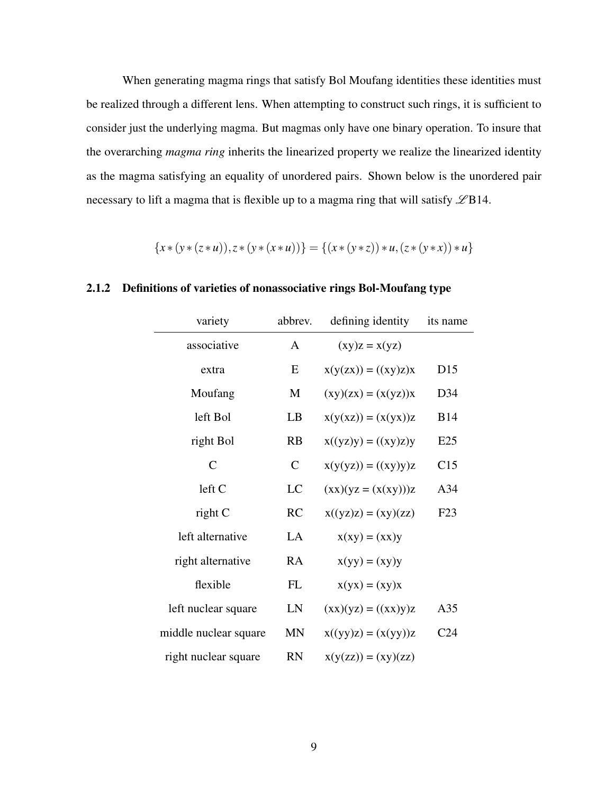When generating magma rings that satisfy Bol Moufang identities these identities must be realized through a different lens. When attempting to construct such rings, it is sufficient to consider just the underlying magma. But magmas only have one binary operation. To insure that the overarching *magma ring* inherits the linearized property we realize the linearized identity as the magma satisfying an equality of unordered pairs. Shown below is the unordered pair necessary to lift a magma that is flexible up to a magma ring that will satisfy  $\mathscr{L}B14$ .

$$
\{x*(y*(z*u)),z*(y*(x*u))\} = \{(x*(y*z)) * u, (z*(y*x)) * u\}
$$

| variety               | abbrev.       | defining identity                                                  | its name        |
|-----------------------|---------------|--------------------------------------------------------------------|-----------------|
| associative           | $\mathsf{A}$  | $(xy)z = x(yz)$                                                    |                 |
| extra                 | E             | $x(y(zx)) = ((xy)z)x$                                              | D <sub>15</sub> |
| Moufang               | M             | $(xy)(zx) = (x(yz))x$                                              | D34             |
| left Bol              | LB            | $x(y(xz)) = (x(yx))z$                                              | <b>B</b> 14     |
| right Bol             | RB            | $x((yz)y) = ((xy)z)y$                                              | E25             |
| $\mathcal{C}$         | $\mathcal{C}$ | $x(y(yz)) = ((xy)y)z$                                              | C15             |
| left C                | LC            | $(\mathbf{xx})(\mathbf{yz} = (\mathbf{x}(\mathbf{xy})))\mathbf{z}$ | A <sub>34</sub> |
| right C               | RC            | $x((yz)z) = (xy)(zz)$                                              | F23             |
| left alternative      | LA            | $x(xy) = (xx)y$                                                    |                 |
| right alternative     | <b>RA</b>     | $x(yy) = (xy)y$                                                    |                 |
| flexible              | FL            | $x(yx) = (xy)x$                                                    |                 |
| left nuclear square   | LN            | $(xx)(yz) = ((xx)y)z$                                              | A <sub>35</sub> |
| middle nuclear square | <b>MN</b>     | $x((yy)z) = (x(yy))z$                                              | C <sub>24</sub> |
| right nuclear square  | <b>RN</b>     | $x(y(zz)) = (xy)(zz)$                                              |                 |

## <span id="page-19-0"></span>2.1.2 Definitions of varieties of nonassociative rings Bol-Moufang type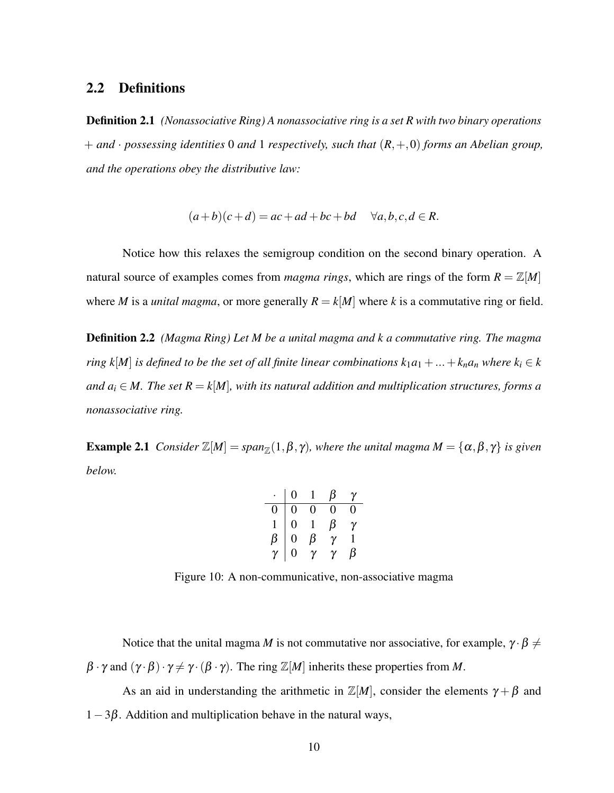## <span id="page-20-0"></span>2.2 Definitions

Definition 2.1 *(Nonassociative Ring) A nonassociative ring is a set R with two binary operations* + *and* · *possessing identities* 0 *and* 1 *respectively, such that* (*R*,+,0) *forms an Abelian group, and the operations obey the distributive law:*

$$
(a+b)(c+d) = ac + ad + bc + bd \quad \forall a, b, c, d \in R.
$$

Notice how this relaxes the semigroup condition on the second binary operation. A natural source of examples comes from *magma rings*, which are rings of the form  $R = \mathbb{Z}[M]$ where *M* is a *unital magma*, or more generally  $R = k[M]$  where *k* is a commutative ring or field.

Definition 2.2 *(Magma Ring) Let M be a unital magma and k a commutative ring. The magma ring*  $k[M]$  *is defined to be the set of all finite linear combinations*  $k_1a_1 + ... + k_na_n$  *where*  $k_i \in k$ *and*  $a_i \in M$ . The set  $R = k[M]$ , with its natural addition and multiplication structures, forms a *nonassociative ring.*

**Example 2.1** *Consider*  $\mathbb{Z}[M] = span_{\mathbb{Z}}(1,\beta,\gamma)$ *, where the unital magma*  $M = {\alpha, \beta, \gamma}$  *is given below.*

|              | 0              |         |     | γ |
|--------------|----------------|---------|-----|---|
|              | 0              | 0       | 1 ) | 0 |
| $\mathbf{1}$ | $\overline{0}$ |         | β   | γ |
| $\beta$      | $\overline{0}$ | $\beta$ | γ   |   |
| $\gamma$     | $\overline{0}$ |         | γ   |   |

<span id="page-20-1"></span>Figure 10: A non-communicative, non-associative magma

Notice that the unital magma *M* is not commutative nor associative, for example,  $\gamma \cdot \beta \neq 0$  $\beta \cdot \gamma$  and  $(\gamma \cdot \beta) \cdot \gamma \neq \gamma \cdot (\beta \cdot \gamma)$ . The ring  $\mathbb{Z}[M]$  inherits these properties from *M*.

As an aid in understanding the arithmetic in  $\mathbb{Z}[M]$ , consider the elements  $\gamma + \beta$  and  $1-3\beta$ . Addition and multiplication behave in the natural ways,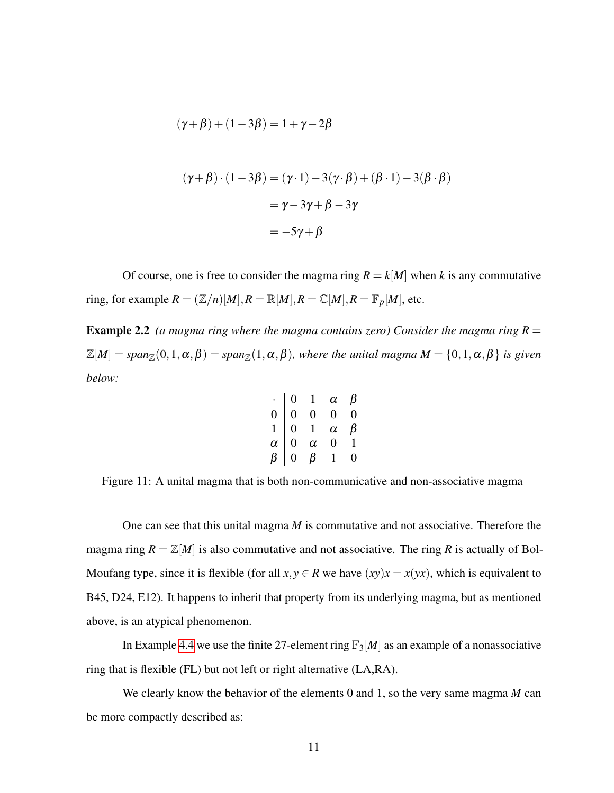$$
(\gamma + \beta) + (1 - 3\beta) = 1 + \gamma - 2\beta
$$
  

$$
(\gamma + \beta) \cdot (1 - 3\beta) = (\gamma \cdot 1) - 3(\gamma \cdot \beta) + (\beta \cdot 1) - 3(\beta \cdot \beta)
$$
  

$$
= \gamma - 3\gamma + \beta - 3\gamma
$$
  

$$
= -5\gamma + \beta
$$

Of course, one is free to consider the magma ring  $R = k[M]$  when *k* is any commutative ring, for example  $R = (\mathbb{Z}/n)[M], R = \mathbb{R}[M], R = \mathbb{C}[M], R = \mathbb{F}_p[M]$ , etc.

**Example 2.2** (a magma ring where the magma contains zero) Consider the magma ring  $R =$  $\mathbb{Z}[M] = span_{\mathbb{Z}}(0,1,\alpha,\beta) = span_{\mathbb{Z}}(1,\alpha,\beta)$ *, where the unital magma*  $M = \{0,1,\alpha,\beta\}$  *is given below:*

|          |   |          | $\alpha$ | В |
|----------|---|----------|----------|---|
| 0        | 0 | 0        | $_{0}$   | 0 |
|          | 0 |          | $\alpha$ | β |
| $\alpha$ | 0 | $\alpha$ | 0        |   |
| ß        | 0 | β        |          | 0 |

<span id="page-21-0"></span>Figure 11: A unital magma that is both non-communicative and non-associative magma

One can see that this unital magma *M* is commutative and not associative. Therefore the magma ring  $R = \mathbb{Z}[M]$  is also commutative and not associative. The ring R is actually of Bol-Moufang type, since it is flexible (for all  $x, y \in R$  we have  $(xy)x = x(yx)$ , which is equivalent to B45, D24, E12). It happens to inherit that property from its underlying magma, but as mentioned above, is an atypical phenomenon.

In Example [4.4](#page-35-1) we use the finite 27-element ring  $\mathbb{F}_3[M]$  as an example of a nonassociative ring that is flexible (FL) but not left or right alternative (LA,RA).

We clearly know the behavior of the elements 0 and 1, so the very same magma *M* can be more compactly described as: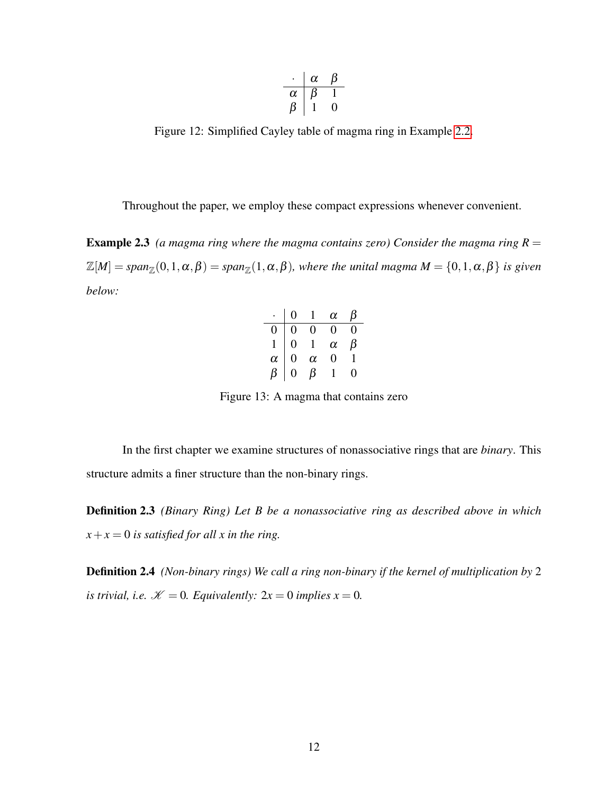$$
\begin{array}{c|cc}\n\cdot & \alpha & \beta \\
\hline\n\alpha & \beta & 1 \\
\beta & 1 & 0\n\end{array}
$$

<span id="page-22-1"></span>Figure 12: Simplified Cayley table of magma ring in Example [2.2.](#page-21-0)

Throughout the paper, we employ these compact expressions whenever convenient.

**Example 2.3** (a magma ring where the magma contains zero) Consider the magma ring  $R =$  $\mathbb{Z}[M] = span_{\mathbb{Z}}(0,1,\alpha,\beta) = span_{\mathbb{Z}}(1,\alpha,\beta)$ *, where the unital magma*  $M = \{0,1,\alpha,\beta\}$  *is given below:*

|          |              |          | $\alpha$ |   |
|----------|--------------|----------|----------|---|
|          | D            | 0        | 0        | 0 |
|          | $\mathbf{0}$ |          | $\alpha$ | З |
| $\alpha$ | 0            | $\alpha$ | 0        |   |
|          | ٠)           |          |          | 0 |

<span id="page-22-2"></span>Figure 13: A magma that contains zero

In the first chapter we examine structures of nonassociative rings that are *binary*. This structure admits a finer structure than the non-binary rings.

Definition 2.3 *(Binary Ring) Let B be a nonassociative ring as described above in which*  $x + x = 0$  *is satisfied for all x in the ring.* 

<span id="page-22-0"></span>Definition 2.4 *(Non-binary rings) We call a ring non-binary if the kernel of multiplication by* 2 *is trivial, i.e.*  $K = 0$ *. Equivalently:*  $2x = 0$  *implies*  $x = 0$ *.*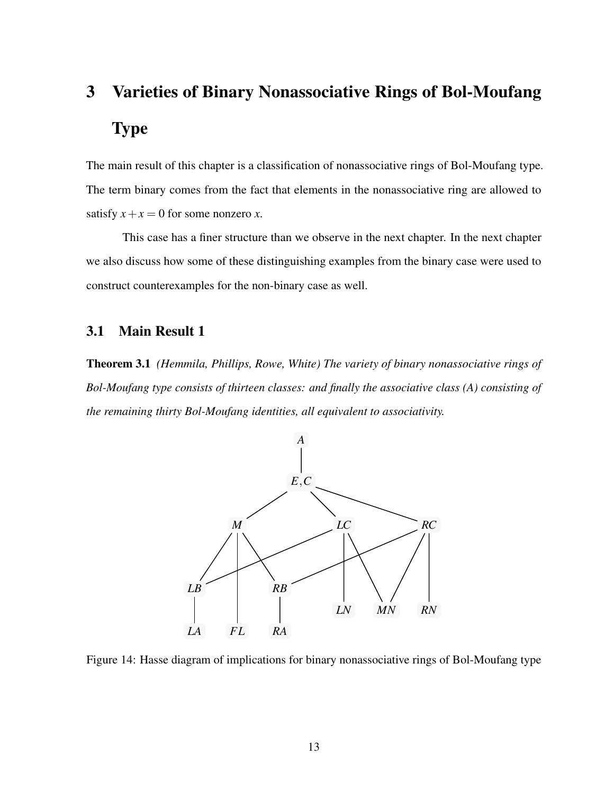# 3 Varieties of Binary Nonassociative Rings of Bol-Moufang Type

The main result of this chapter is a classification of nonassociative rings of Bol-Moufang type. The term binary comes from the fact that elements in the nonassociative ring are allowed to satisfy  $x + x = 0$  for some nonzero *x*.

This case has a finer structure than we observe in the next chapter. In the next chapter we also discuss how some of these distinguishing examples from the binary case were used to construct counterexamples for the non-binary case as well.

## <span id="page-23-0"></span>3.1 Main Result 1

Theorem 3.1 *(Hemmila, Phillips, Rowe, White) The variety of binary nonassociative rings of Bol-Moufang type consists of thirteen classes: and finally the associative class (A) consisting of the remaining thirty Bol-Moufang identities, all equivalent to associativity.*



<span id="page-23-1"></span>Figure 14: Hasse diagram of implications for binary nonassociative rings of Bol-Moufang type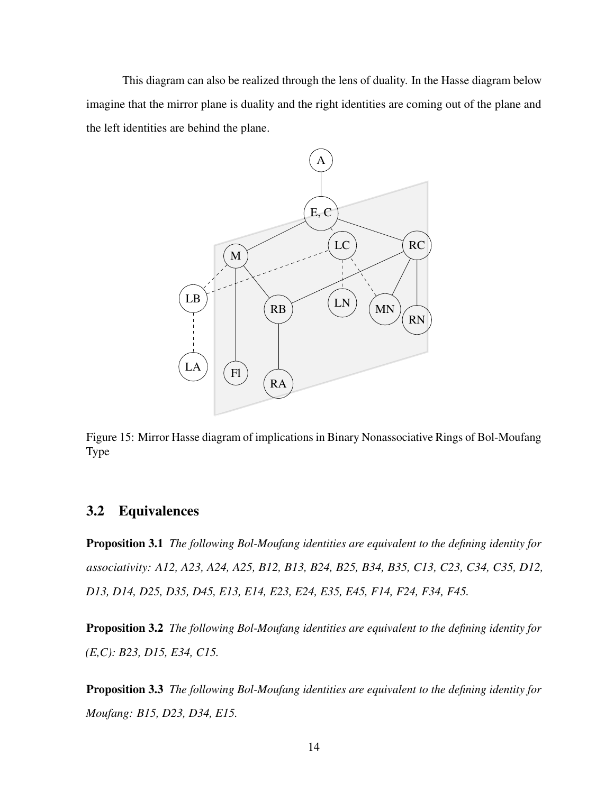This diagram can also be realized through the lens of duality. In the Hasse diagram below imagine that the mirror plane is duality and the right identities are coming out of the plane and the left identities are behind the plane.



<span id="page-24-1"></span>Figure 15: Mirror Hasse diagram of implications in Binary Nonassociative Rings of Bol-Moufang Type

### <span id="page-24-0"></span>3.2 Equivalences

Proposition 3.1 *The following Bol-Moufang identities are equivalent to the defining identity for associativity: A12, A23, A24, A25, B12, B13, B24, B25, B34, B35, C13, C23, C34, C35, D12, D13, D14, D25, D35, D45, E13, E14, E23, E24, E35, E45, F14, F24, F34, F45.*

Proposition 3.2 *The following Bol-Moufang identities are equivalent to the defining identity for (E,C): B23, D15, E34, C15.*

Proposition 3.3 *The following Bol-Moufang identities are equivalent to the defining identity for Moufang: B15, D23, D34, E15.*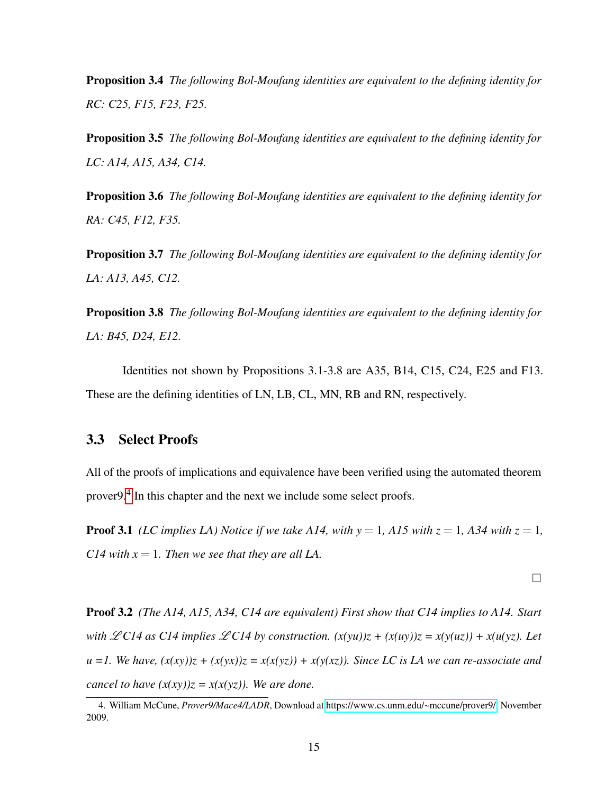Proposition 3.4 *The following Bol-Moufang identities are equivalent to the defining identity for RC: C25, F15, F23, F25.*

Proposition 3.5 *The following Bol-Moufang identities are equivalent to the defining identity for LC: A14, A15, A34, C14.*

Proposition 3.6 *The following Bol-Moufang identities are equivalent to the defining identity for RA: C45, F12, F35.*

Proposition 3.7 *The following Bol-Moufang identities are equivalent to the defining identity for LA: A13, A45, C12.*

Proposition 3.8 *The following Bol-Moufang identities are equivalent to the defining identity for LA: B45, D24, E12.*

Identities not shown by Propositions 3.1-3.8 are A35, B14, C15, C24, E25 and F13. These are the defining identities of LN, LB, CL, MN, RB and RN, respectively.

### <span id="page-25-0"></span>3.3 Select Proofs

All of the proofs of implications and equivalence have been verified using the automated theorem prover9.<sup>[4](#page-1-1)</sup> In this chapter and the next we include some select proofs.

**Proof 3.1** *(LC implies LA) Notice if we take A14, with*  $y = 1$ , A15 with  $z = 1$ , A34 with  $z = 1$ , *C14 with*  $x = 1$ *. Then we see that they are all LA.* 

 $\Box$ 

Proof 3.2 *(The A14, A15, A34, C14 are equivalent) First show that C14 implies to A14. Start with*  $\mathscr{L}CI4$  *as C14 implies*  $\mathscr{L}CI4$  *by construction.*  $(x(yu))z + (x(uy))z = x(y(uz)) + x(u(yz))$ . Let  $u =1$ . We have,  $(x(xy))z + (x(yx))z = x(x(yz)) + x(y(xz))$ . Since LC is LA we can re-associate and *cancel to have*  $(x(xy))z = x(x(yz))$ . We are done.

<sup>4.</sup> William McCune, *Prover9/Mace4/LADR*, Download at [https://www.cs.unm.edu/~mccune/prover9/,](https://www.cs.unm.edu/~mccune/prover9/) November 2009.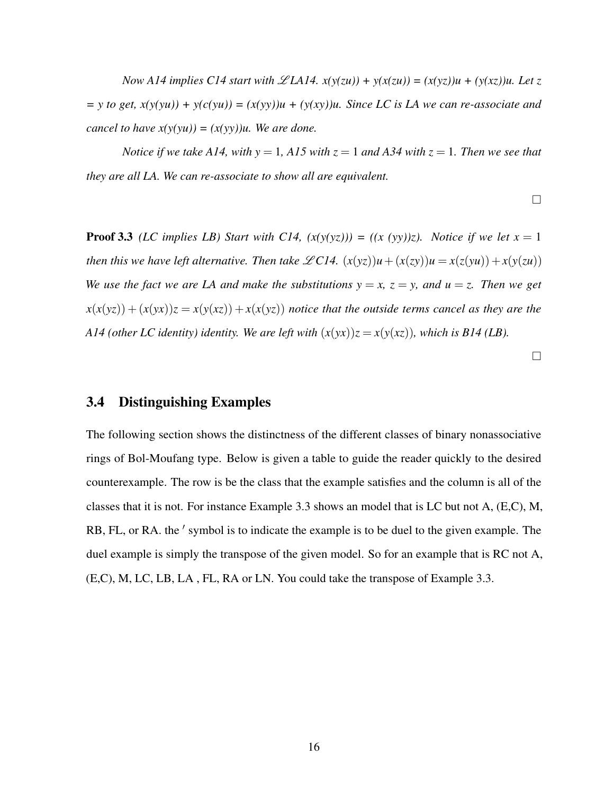*Now A14 implies C14 start with*  $\mathscr{L}LA14$ *.*  $x(y(zu)) + y(x(zu)) = (x(yz))u + (y(xz))u$ . Let z  $= y$  to get,  $x(y(yu)) + y(c(yu)) = (x(xy))u + (y(xy))u$ . Since LC is LA we can re-associate and *cancel to have*  $x(y(yu)) = (x(yy))u$ . We are done.

*Notice if we take A14, with*  $y = 1$ , *A15 with*  $z = 1$  *and A34 with*  $z = 1$ *. Then we see that they are all LA. We can re-associate to show all are equivalent.*

 $\Box$ 

**Proof 3.3** *(LC implies LB)* Start with C14,  $(x(y(yz))) = (x (yy))z$ . Notice if we let  $x = 1$ *then this we have left alternative. Then take*  $\mathscr{L}C14$ *.*  $(x(yz))u + (x(zy))u = x(z(yu)) + x(y(zu))$ *We use the fact we are LA and make the substitutions*  $y = x$ ,  $z = y$ , and  $u = z$ . Then we get  $x(x(yz)) + (x(yx))z = x(y(xz)) + x(x(yz))$  notice that the outside terms cancel as they are the *A14 (other LC identity) identity. We are left with*  $(x(yx))z = x(y(xz))$ , which is B14 (LB).

 $\Box$ 

#### <span id="page-26-0"></span>3.4 Distinguishing Examples

The following section shows the distinctness of the different classes of binary nonassociative rings of Bol-Moufang type. Below is given a table to guide the reader quickly to the desired counterexample. The row is be the class that the example satisfies and the column is all of the classes that it is not. For instance Example 3.3 shows an model that is LC but not A, (E,C), M, RB, FL, or RA. the ' symbol is to indicate the example is to be duel to the given example. The duel example is simply the transpose of the given model. So for an example that is RC not A, (E,C), M, LC, LB, LA , FL, RA or LN. You could take the transpose of Example 3.3.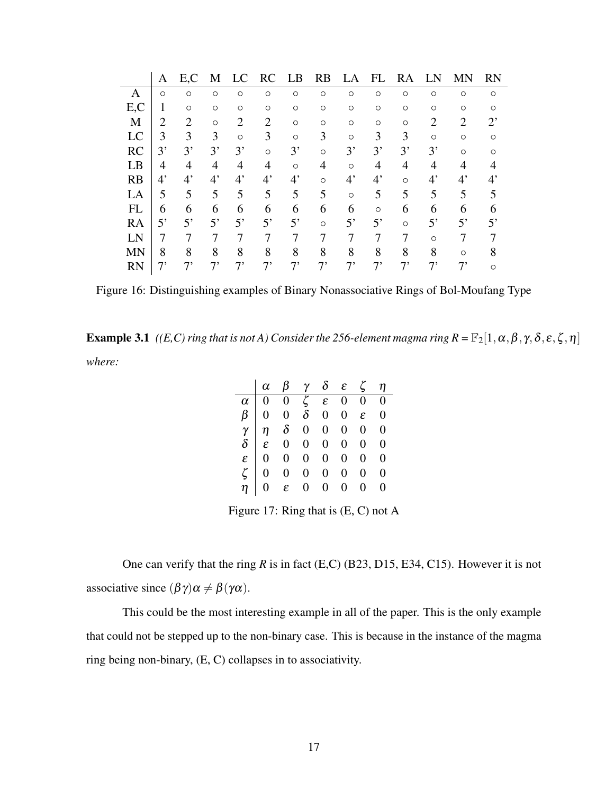|           | A           | E,C            | M           | LC          | RC          | LB          | <b>RB</b> | LA          | FL          | RA      |             | MN          | <b>RN</b>   |
|-----------|-------------|----------------|-------------|-------------|-------------|-------------|-----------|-------------|-------------|---------|-------------|-------------|-------------|
| А         | $\circ$     | $\circ$        | $\circ$     | $\circ$     | $\circ$     | $\circ$     | $\circ$   | $\circ$     | $\circ$     | $\circ$ | $\circ$     | $\circ$     | $\circ$     |
| E,C       | 1           | $\circ$        | $\circ$     | $\circ$     | O           | O           | $\circ$   | $\circ$     | $\circ$     | O       | O           | $\circ$     | ∩           |
| M         | 2           | $\overline{2}$ | $\circ$     | 2           | 2           | $\circ$     | $\circ$   | $\circ$     | $\circ$     | $\circ$ | 2           | 2           | ႒,          |
| LC        | 3           | 3              | 3           | $\circ$     | 3           | $\circ$     | 3         | $\circ$     | 3           | 3       | $\circ$     | $\circ$     | ∩           |
| <b>RC</b> | 3'          | 3'             | 3'          | 3'          | $\circ$     | 3'          | $\circ$   | 3'          | 3'          | 3'      | 3'          | $\circ$     | ∩           |
| LB        | 4           | 4              | 4           | 4           | 4           | $\circ$     | 4         | $\circ$     | 4           | 4       | 4           | 4           |             |
| RB        | $4^{\circ}$ | $4^{\circ}$    | $4^{\circ}$ | $4^{\circ}$ | $4^{\circ}$ | $4^{\circ}$ | $\circ$   | $4^{\circ}$ | $4^{\circ}$ | $\circ$ | $4^{\circ}$ | $4^{\circ}$ | $4^{\circ}$ |
| LA        | 5           | 5              | 5           | 5           | 5           | 5           | 5         | $\circ$     | 5           | 5       | 5           | 5           |             |
| <b>FL</b> | 6           | 6              | 6           | 6           | 6           | 6           | 6         | 6           | $\circ$     | 6       | 6           | 6           |             |
| RA        | 5'          | 5'             | 5'          | 5'          | 5'          | 5'          | $\circ$   | $5^{\circ}$ | 5'          | $\circ$ | 5'          | 5'          | 5'          |
| LN        |             |                |             |             |             |             |           |             |             |         | $\circ$     |             |             |
| <b>MN</b> | 8           | 8              | 8           | 8           | 8           | 8           | 8         | 8           | 8           | 8       | 8           | $\circ$     |             |
| <b>RN</b> | 7'          | 7,             | 7,          | 7,          |             | $7^,$       | 7,        |             | 7,          | 7'      | 7,          | 7'          | ∩           |

<span id="page-27-0"></span>Figure 16: Distinguishing examples of Binary Nonassociative Rings of Bol-Moufang Type

**Example 3.1** *((E,C) ring that is not A) Consider the 256-element magma ring*  $R = \mathbb{F}_2[1, \alpha, \beta, \gamma, \delta, \varepsilon, \zeta, \eta]$ *where:*

| $\begin{array}{c cccccccc} \alpha & \beta & \gamma & \delta & \varepsilon & \zeta & \eta \ \hline \alpha & 0 & 0 & \zeta & \varepsilon & 0 & 0 & 0 \ \beta & 0 & 0 & \delta & 0 & 0 & \varepsilon & 0 \ \gamma & \eta & \delta & 0 & 0 & 0 & 0 & 0 \ \delta & \varepsilon & 0 & 0 & 0 & 0 & 0 & 0 \ \epsilon & 0 & 0 & 0 & 0 & 0 & 0 & 0 \ \zeta & 0 & 0 & 0 & 0 & 0 & 0 & 0 \ \zeta & 0 & 0 & 0 & 0 & 0 & 0 & 0 \ \eta & 0 &$ |  |  |  |
|--------------------------------------------------------------------------------------------------------------------------------------------------------------------------------------------------------------------------------------------------------------------------------------------------------------------------------------------------------------------------------------------------------------------------------|--|--|--|
|                                                                                                                                                                                                                                                                                                                                                                                                                                |  |  |  |
|                                                                                                                                                                                                                                                                                                                                                                                                                                |  |  |  |
|                                                                                                                                                                                                                                                                                                                                                                                                                                |  |  |  |
|                                                                                                                                                                                                                                                                                                                                                                                                                                |  |  |  |
|                                                                                                                                                                                                                                                                                                                                                                                                                                |  |  |  |
|                                                                                                                                                                                                                                                                                                                                                                                                                                |  |  |  |
|                                                                                                                                                                                                                                                                                                                                                                                                                                |  |  |  |

<span id="page-27-1"></span>Figure 17: Ring that is (E, C) not A

One can verify that the ring *R* is in fact (E,C) (B23, D15, E34, C15). However it is not associative since  $(\beta \gamma) \alpha \neq \beta(\gamma \alpha)$ .

This could be the most interesting example in all of the paper. This is the only example that could not be stepped up to the non-binary case. This is because in the instance of the magma ring being non-binary, (E, C) collapses in to associativity.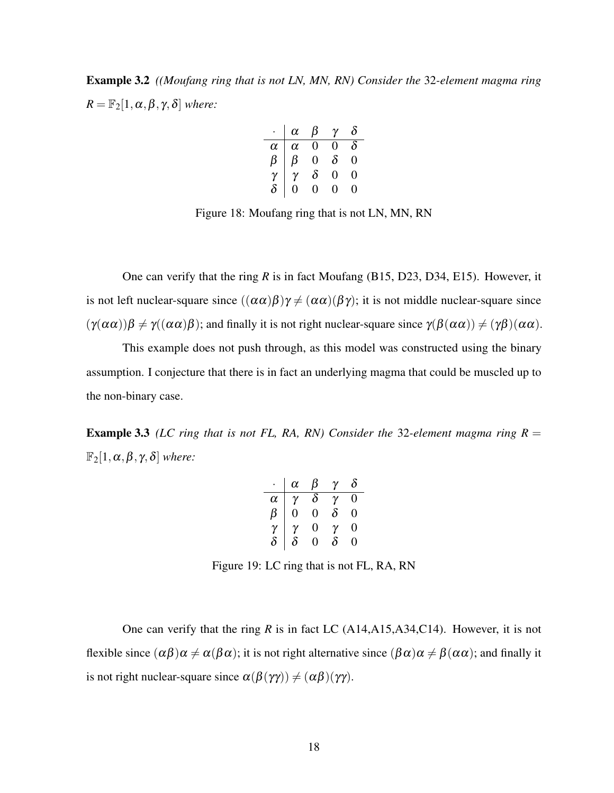Example 3.2 *((Moufang ring that is not LN, MN, RN) Consider the* 32*-element magma ring*  $R = \mathbb{F}_2[1, \alpha, \beta, \gamma, \delta]$  *where:* 

|          | $\alpha$ | β            | $\gamma$ | ስ            |
|----------|----------|--------------|----------|--------------|
| $\alpha$ | $\alpha$ | 0            | 0        | $\delta$     |
| ß        | β        | $_{0}$       | $\delta$ | 0            |
| γ        | γ        | $\delta$     | $\theta$ | 0            |
|          | $\theta$ | $\mathbf{0}$ | 0        | $\mathbf{0}$ |

<span id="page-28-0"></span>Figure 18: Moufang ring that is not LN, MN, RN

One can verify that the ring *R* is in fact Moufang (B15, D23, D34, E15). However, it is not left nuclear-square since  $((\alpha \alpha)\beta)\gamma \neq (\alpha \alpha)(\beta \gamma)$ ; it is not middle nuclear-square since  $(\gamma(\alpha\alpha))\beta \neq \gamma((\alpha\alpha)\beta)$ ; and finally it is not right nuclear-square since  $\gamma(\beta(\alpha\alpha)) \neq (\gamma\beta)(\alpha\alpha)$ .

This example does not push through, as this model was constructed using the binary assumption. I conjecture that there is in fact an underlying magma that could be muscled up to the non-binary case.

**Example 3.3** *(LC ring that is not FL, RA, RN) Consider the* 32-element magma ring  $R =$  $\mathbb{F}_2[1,\alpha,\beta,\gamma,\delta]$  *where:* 

|          | α         | В        | γ        | ð |
|----------|-----------|----------|----------|---|
| $\alpha$ | γ         | $\delta$ | γ        | 0 |
| ß        | $\dot{0}$ | 0        | $\delta$ | 0 |
| $\gamma$ | ν         | 0        | γ        | 0 |
| $\delta$ | $\delta$  | 0        | δ        | 0 |

<span id="page-28-1"></span>Figure 19: LC ring that is not FL, RA, RN

One can verify that the ring *R* is in fact LC (A14,A15,A34,C14). However, it is not flexible since  $(\alpha\beta)\alpha \neq \alpha(\beta\alpha)$ ; it is not right alternative since  $(\beta\alpha)\alpha \neq \beta(\alpha\alpha)$ ; and finally it is not right nuclear-square since  $\alpha(\beta(\gamma\gamma)) \neq (\alpha\beta)(\gamma\gamma)$ .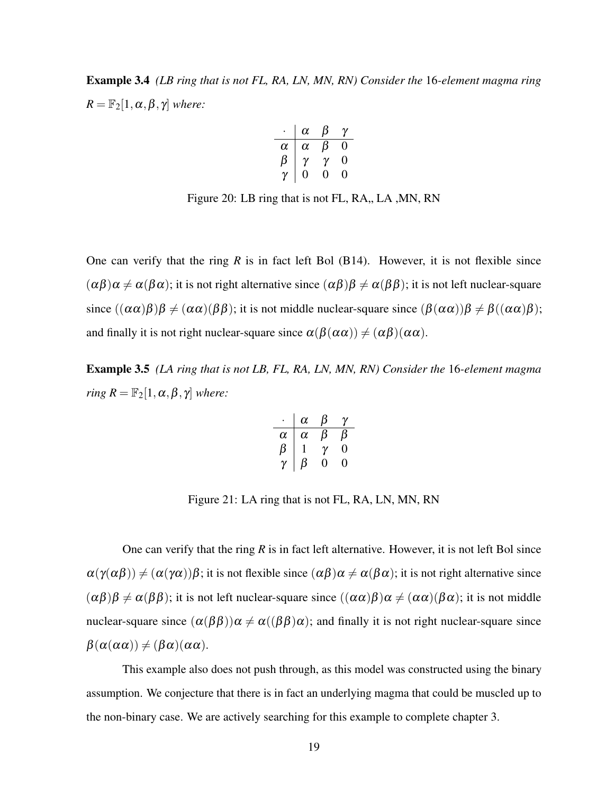Example 3.4 *(LB ring that is not FL, RA, LN, MN, RN) Consider the* 16*-element magma ring*  $R = \mathbb{F}_2[1, \alpha, \beta, \gamma]$  *where:* 

$$
\begin{array}{c|cc}\n\cdot & \alpha & \beta & \gamma \\
\hline\n\alpha & \alpha & \beta & 0 \\
\beta & \gamma & \gamma & 0 \\
\gamma & 0 & 0 & 0\n\end{array}
$$

<span id="page-29-0"></span>Figure 20: LB ring that is not FL, RA,, LA, MN, RN

One can verify that the ring  $R$  is in fact left Bol (B14). However, it is not flexible since  $(\alpha\beta)\alpha \neq \alpha(\beta\alpha)$ ; it is not right alternative since  $(\alpha\beta)\beta \neq \alpha(\beta\beta)$ ; it is not left nuclear-square since  $((\alpha \alpha)\beta)\beta \neq (\alpha \alpha)(\beta \beta)$ ; it is not middle nuclear-square since  $(\beta(\alpha \alpha))\beta \neq \beta((\alpha \alpha)\beta)$ ; and finally it is not right nuclear-square since  $\alpha(\beta(\alpha\alpha)) \neq (\alpha\beta)(\alpha\alpha)$ .

Example 3.5 *(LA ring that is not LB, FL, RA, LN, MN, RN) Consider the* 16*-element magma ring*  $R = \mathbb{F}_2[1, \alpha, \beta, \gamma]$  *where:* 

$$
\begin{array}{c|cc}\n\cdot & \alpha & \beta & \gamma \\
\hline\n\alpha & \alpha & \beta & \beta \\
\beta & 1 & \gamma & 0 \\
\gamma & \beta & 0 & 0\n\end{array}
$$

<span id="page-29-1"></span>Figure 21: LA ring that is not FL, RA, LN, MN, RN

One can verify that the ring *R* is in fact left alternative. However, it is not left Bol since  $\alpha(\gamma(\alpha\beta)) \neq (\alpha(\gamma\alpha))\beta$ ; it is not flexible since  $(\alpha\beta)\alpha \neq \alpha(\beta\alpha)$ ; it is not right alternative since  $(\alpha\beta)\beta \neq \alpha(\beta\beta)$ ; it is not left nuclear-square since  $((\alpha\alpha)\beta)\alpha \neq (\alpha\alpha)(\beta\alpha)$ ; it is not middle nuclear-square since  $(\alpha(\beta\beta))\alpha \neq \alpha((\beta\beta)\alpha)$ ; and finally it is not right nuclear-square since  $\beta(\alpha(\alpha\alpha)) \neq (\beta\alpha)(\alpha\alpha).$ 

This example also does not push through, as this model was constructed using the binary assumption. We conjecture that there is in fact an underlying magma that could be muscled up to the non-binary case. We are actively searching for this example to complete chapter 3.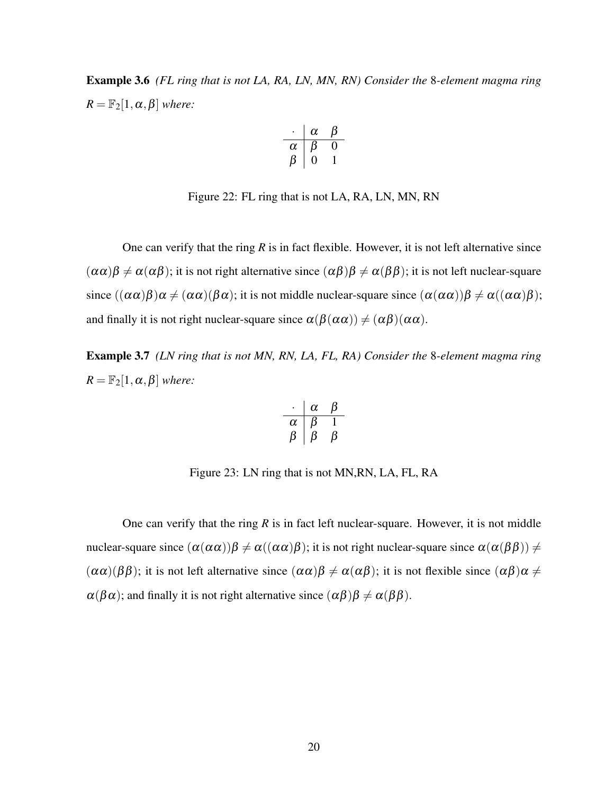Example 3.6 *(FL ring that is not LA, RA, LN, MN, RN) Consider the* 8*-element magma ring*  $R = \mathbb{F}_2[1, \alpha, \beta]$  *where:* 

$$
\begin{array}{c|cc}\n\cdot & \alpha & \beta \\
\hline\n\alpha & \beta & 0 \\
\beta & 0 & 1\n\end{array}
$$

<span id="page-30-0"></span>Figure 22: FL ring that is not LA, RA, LN, MN, RN

One can verify that the ring  $R$  is in fact flexible. However, it is not left alternative since  $(\alpha \alpha)\beta \neq \alpha(\alpha \beta)$ ; it is not right alternative since  $(\alpha \beta)\beta \neq \alpha(\beta \beta)$ ; it is not left nuclear-square since  $((\alpha\alpha)\beta)\alpha \neq (\alpha\alpha)(\beta\alpha)$ ; it is not middle nuclear-square since  $(\alpha(\alpha\alpha))\beta \neq \alpha((\alpha\alpha)\beta)$ ; and finally it is not right nuclear-square since  $\alpha(\beta(\alpha\alpha)) \neq (\alpha\beta)(\alpha\alpha)$ .

Example 3.7 *(LN ring that is not MN, RN, LA, FL, RA) Consider the* 8*-element magma ring*  $R = \mathbb{F}_2[1, \alpha, \beta]$  *where:* 

$$
\begin{array}{c|cc}\n\cdot & \alpha & \beta \\
\hline\n\alpha & \beta & 1 \\
\beta & \beta & \beta\n\end{array}
$$

<span id="page-30-1"></span>Figure 23: LN ring that is not MN,RN, LA, FL, RA

One can verify that the ring *R* is in fact left nuclear-square. However, it is not middle nuclear-square since  $(\alpha(\alpha\alpha))\beta \neq \alpha((\alpha\alpha)\beta)$ ; it is not right nuclear-square since  $\alpha(\alpha(\beta\beta)) \neq$  $(\alpha \alpha)(\beta \beta)$ ; it is not left alternative since  $(\alpha \alpha)\beta \neq \alpha(\alpha \beta)$ ; it is not flexible since  $(\alpha \beta)\alpha \neq \beta$  $\alpha(\beta\alpha)$ ; and finally it is not right alternative since  $(\alpha\beta)\beta \neq \alpha(\beta\beta)$ .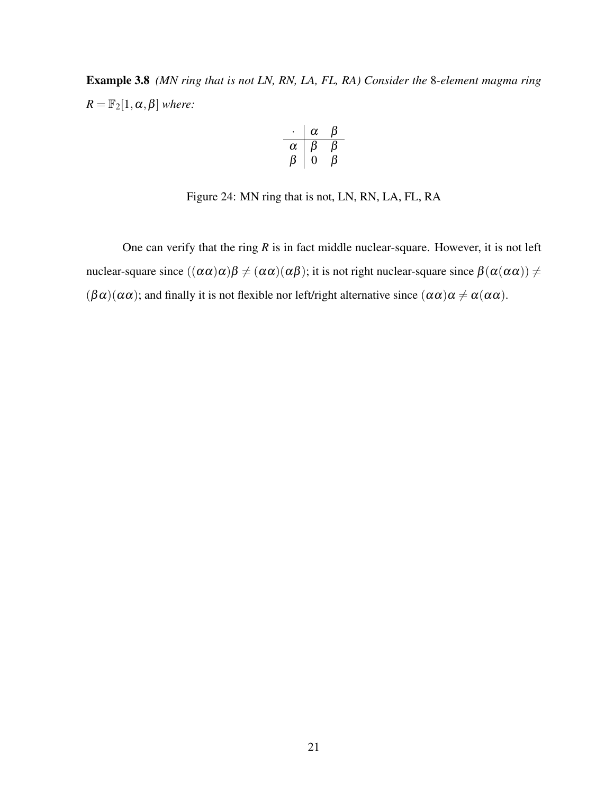Example 3.8 *(MN ring that is not LN, RN, LA, FL, RA) Consider the* 8*-element magma ring*  $R = \mathbb{F}_2[1, \alpha, \beta]$  *where:* 

$$
\begin{array}{c|cc}\n\cdot & \alpha & \beta \\
\hline\n\alpha & \beta & \beta \\
\beta & 0 & \beta\n\end{array}
$$

<span id="page-31-1"></span>Figure 24: MN ring that is not, LN, RN, LA, FL, RA

<span id="page-31-0"></span>One can verify that the ring *R* is in fact middle nuclear-square. However, it is not left nuclear-square since  $((\alpha \alpha)\alpha)\beta \neq (\alpha \alpha)(\alpha \beta)$ ; it is not right nuclear-square since  $\beta(\alpha(\alpha \alpha)) \neq \beta(\alpha(\alpha \alpha))$  $(\beta \alpha)(\alpha \alpha)$ ; and finally it is not flexible nor left/right alternative since  $(\alpha \alpha)\alpha \neq \alpha(\alpha \alpha)$ .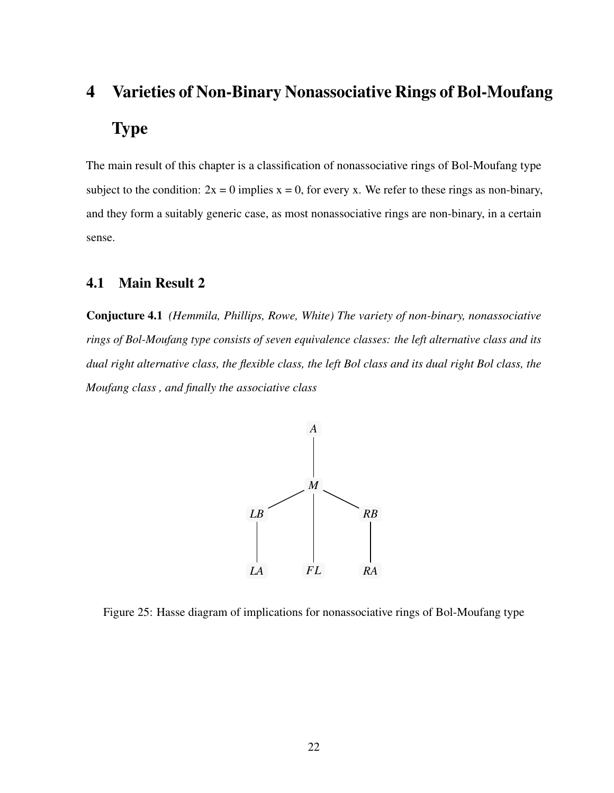# 4 Varieties of Non-Binary Nonassociative Rings of Bol-Moufang Type

The main result of this chapter is a classification of nonassociative rings of Bol-Moufang type subject to the condition:  $2x = 0$  implies  $x = 0$ , for every x. We refer to these rings as non-binary, and they form a suitably generic case, as most nonassociative rings are non-binary, in a certain sense.

## <span id="page-32-0"></span>4.1 Main Result 2

Conjucture 4.1 *(Hemmila, Phillips, Rowe, White) The variety of non-binary, nonassociative rings of Bol-Moufang type consists of seven equivalence classes: the left alternative class and its dual right alternative class, the flexible class, the left Bol class and its dual right Bol class, the Moufang class , and finally the associative class*



<span id="page-32-1"></span>Figure 25: Hasse diagram of implications for nonassociative rings of Bol-Moufang type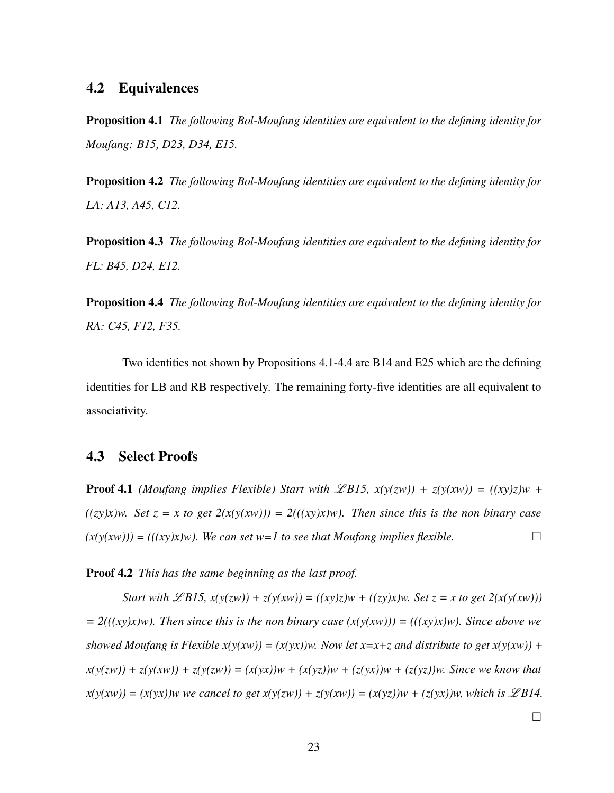## <span id="page-33-0"></span>4.2 Equivalences

Proposition 4.1 *The following Bol-Moufang identities are equivalent to the defining identity for Moufang: B15, D23, D34, E15.*

Proposition 4.2 *The following Bol-Moufang identities are equivalent to the defining identity for LA: A13, A45, C12.*

Proposition 4.3 *The following Bol-Moufang identities are equivalent to the defining identity for FL: B45, D24, E12.*

Proposition 4.4 *The following Bol-Moufang identities are equivalent to the defining identity for RA: C45, F12, F35.*

Two identities not shown by Propositions 4.1-4.4 are B14 and E25 which are the defining identities for LB and RB respectively. The remaining forty-five identities are all equivalent to associativity.

#### <span id="page-33-1"></span>4.3 Select Proofs

**Proof 4.1** *(Moufang implies Flexible)* Start with  $\mathscr{L}B15$ ,  $x(y(zw)) + z(y(xw)) = ( (xy)z)w +$ *((zy)x)w. Set z = x to get 2(x(y(xw))) = 2(((xy)x)w). Then since this is the non binary case*  $(x(y(xw))) = (((xy)x)w)$ . We can set w=1 to see that Moufang implies flexible.

Proof 4.2 *This has the same beginning as the last proof.*

*Start with*  $\mathscr{L}B15$ ,  $x(y(zw)) + z(y(xw)) = ((xy)z)w + ((zy)x)w$ . *Set*  $z = x$  to get  $2(x(y(xw)))$  $= 2((x \cdot y \cdot x) \cdot w)$ . Then since this is the non binary case  $(x(y(x \cdot w))) = ((x \cdot y \cdot x) \cdot w)$ . Since above we *showed Moufang is Flexible x(y(xw))* = (x(yx))w. Now let x=x+z and distribute to get x(y(xw)) +  $x(y(zw)) + z(y(xw)) + z(y(zw)) = (x(yx))w + (x(yz))w + (z(yx))w + (z(yz))w$ . Since we know that  $x(y(xw)) = (x(yx))w$  we cancel to get  $x(y(zw)) + z(y(xw)) = (x(yz))w + (z(yx))w$ , which is  $\mathscr{L}B14$ .

 $\Box$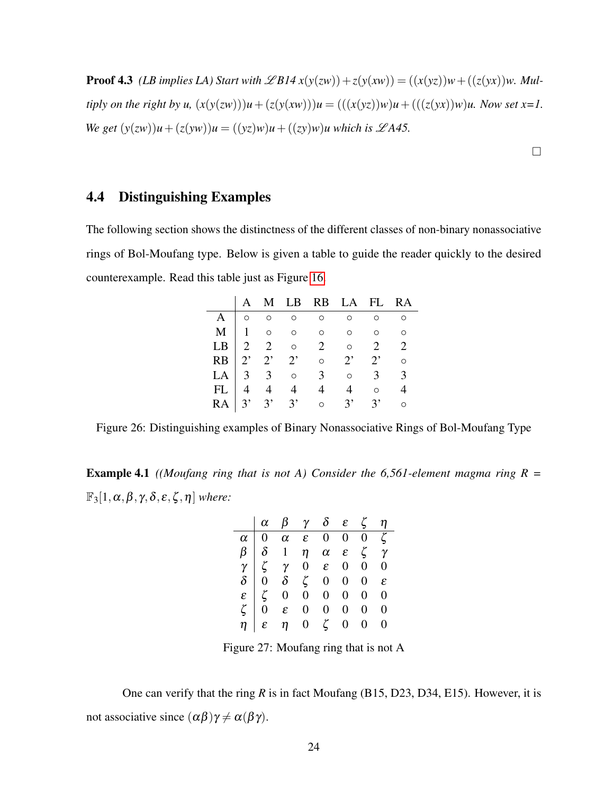**Proof 4.3** *(LB implies LA) Start with*  $\mathscr{L}B14x(y(zw)) + z(y(xw)) = ((x(yz))w + ((z(yx))w, Mul$ *tiply on the right by u*,  $(x(y(zw)))u + (z(y(xw)))u = (((x(yz))w)u + (((z(yx))w)u$ . Now set x=1. *We get*  $(y(zw))u + (z(yw))u = ((yz)w)u + ((zy)w)u$  which is  $\mathscr{L}A45$ .

 $\Box$ 

## <span id="page-34-0"></span>4.4 Distinguishing Examples

The following section shows the distinctness of the different classes of non-binary nonassociative rings of Bol-Moufang type. Below is given a table to guide the reader quickly to the desired counterexample. Read this table just as Figure [16.](#page-27-0)

|  |  | A M LB RB LA FL RA                                                                                                                                                                              |                 |
|--|--|-------------------------------------------------------------------------------------------------------------------------------------------------------------------------------------------------|-----------------|
|  |  | $A \vert 0$ 0 0 0 0                                                                                                                                                                             | $\circ$ $\circ$ |
|  |  | $\mathbf{M}$   1 0 0 0 0 0 0                                                                                                                                                                    |                 |
|  |  |                                                                                                                                                                                                 |                 |
|  |  |                                                                                                                                                                                                 |                 |
|  |  | $\begin{array}{c ccccccccc}\n\text{LB} & 2 & 2 & \circ & 2 & \circ & 2 & 2 \\ \text{RB} & 2' & 2' & 2' & \circ & 2' & 2' & \circ \\ \text{LA} & 3 & 3 & \circ & 3 & \circ & 3 & 3\n\end{array}$ |                 |
|  |  |                                                                                                                                                                                                 |                 |
|  |  | FL 4 4 4 4 4 6 4<br>RA 3' 3' 3' 0 3' 3' 0                                                                                                                                                       |                 |

<span id="page-34-1"></span>Figure 26: Distinguishing examples of Binary Nonassociative Rings of Bol-Moufang Type

Example 4.1 *((Moufang ring that is not A) Consider the 6,561-element magma ring R =*  $\mathbb{F}_3[1,\alpha,\beta,\gamma,\delta,\varepsilon,\zeta,\eta]$  *where:* 

|                                                                                                                                                                                                                                                                                                                                                                                                                                             | $\alpha$ $\beta$ $\gamma$ $\delta$ $\varepsilon$ $\zeta$ $\eta$ |  |  |  |
|---------------------------------------------------------------------------------------------------------------------------------------------------------------------------------------------------------------------------------------------------------------------------------------------------------------------------------------------------------------------------------------------------------------------------------------------|-----------------------------------------------------------------|--|--|--|
|                                                                                                                                                                                                                                                                                                                                                                                                                                             |                                                                 |  |  |  |
| $\begin{array}{c cccccccc} \hline \alpha & 0 & \alpha & \epsilon & 0 & 0 & 0 & \zeta \\ \hline \beta & \delta & 1 & \eta & \alpha & \epsilon & \zeta & \gamma \\ \gamma & \zeta & \gamma & 0 & \epsilon & 0 & 0 & 0 \\ \delta & 0 & \delta & \zeta & 0 & 0 & 0 & \epsilon \\ \epsilon & \zeta & 0 & 0 & 0 & 0 & 0 & 0 \\ \zeta & 0 & \epsilon & 0 & 0 & 0 & 0 & 0 \\ \zeta & \eta & \epsilon & \eta & 0 & \zeta & 0 & 0 & 0 \\ \end{array}$ |                                                                 |  |  |  |
|                                                                                                                                                                                                                                                                                                                                                                                                                                             |                                                                 |  |  |  |
|                                                                                                                                                                                                                                                                                                                                                                                                                                             |                                                                 |  |  |  |
|                                                                                                                                                                                                                                                                                                                                                                                                                                             |                                                                 |  |  |  |
|                                                                                                                                                                                                                                                                                                                                                                                                                                             |                                                                 |  |  |  |
|                                                                                                                                                                                                                                                                                                                                                                                                                                             |                                                                 |  |  |  |

<span id="page-34-2"></span>Figure 27: Moufang ring that is not A

One can verify that the ring *R* is in fact Moufang (B15, D23, D34, E15). However, it is not associative since  $(\alpha \beta) \gamma \neq \alpha(\beta \gamma)$ .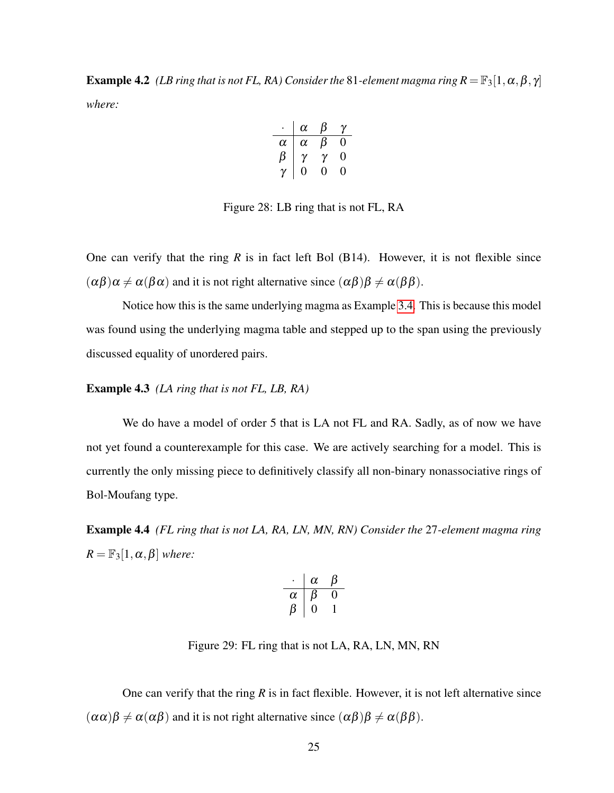**Example 4.2** *(LB ring that is not FL, RA) Consider the* 81-element magma ring  $R = \mathbb{F}_3[1, \alpha, \beta, \gamma]$ *where:*

$$
\begin{array}{c|cc}\n\cdot & \alpha & \beta & \gamma \\
\hline\n\alpha & \alpha & \beta & 0 \\
\beta & \gamma & \gamma & 0 \\
\gamma & 0 & 0 & 0\n\end{array}
$$

<span id="page-35-0"></span>Figure 28: LB ring that is not FL, RA

One can verify that the ring  $R$  is in fact left Bol  $(B14)$ . However, it is not flexible since  $(\alpha\beta)\alpha \neq \alpha(\beta\alpha)$  and it is not right alternative since  $(\alpha\beta)\beta \neq \alpha(\beta\beta)$ .

Notice how this is the same underlying magma as Example [3.4.](#page-29-0) This is because this model was found using the underlying magma table and stepped up to the span using the previously discussed equality of unordered pairs.

#### Example 4.3 *(LA ring that is not FL, LB, RA)*

We do have a model of order 5 that is LA not FL and RA. Sadly, as of now we have not yet found a counterexample for this case. We are actively searching for a model. This is currently the only missing piece to definitively classify all non-binary nonassociative rings of Bol-Moufang type.

Example 4.4 *(FL ring that is not LA, RA, LN, MN, RN) Consider the* 27*-element magma ring*  $R = \mathbb{F}_3[1, \alpha, \beta]$  *where:* 

$$
\begin{array}{c|cc}\n\cdot & \alpha & \beta \\
\hline\n\alpha & \beta & 0 \\
\beta & 0 & 1\n\end{array}
$$

<span id="page-35-1"></span>Figure 29: FL ring that is not LA, RA, LN, MN, RN

One can verify that the ring *R* is in fact flexible. However, it is not left alternative since  $(\alpha \alpha)\beta \neq \alpha(\alpha \beta)$  and it is not right alternative since  $(\alpha \beta)\beta \neq \alpha(\beta \beta)$ .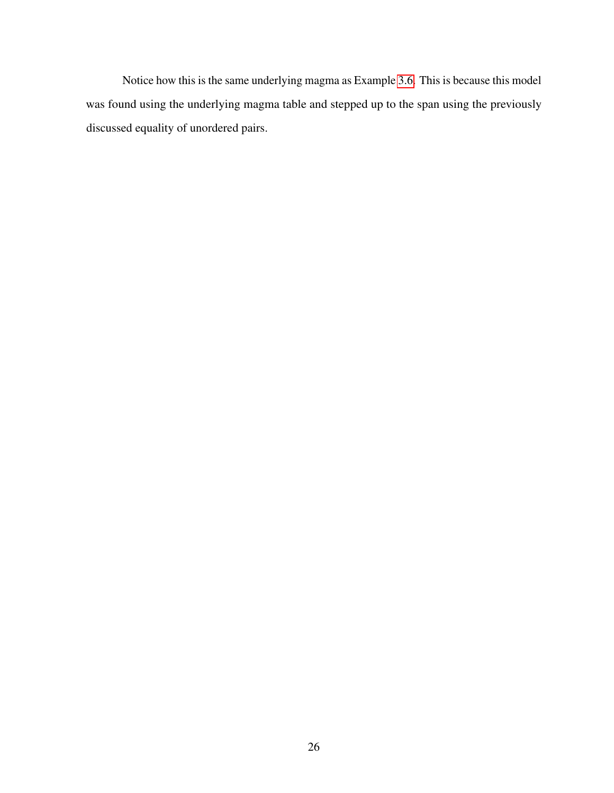<span id="page-36-0"></span>Notice how this is the same underlying magma as Example [3.6.](#page-30-0) This is because this model was found using the underlying magma table and stepped up to the span using the previously discussed equality of unordered pairs.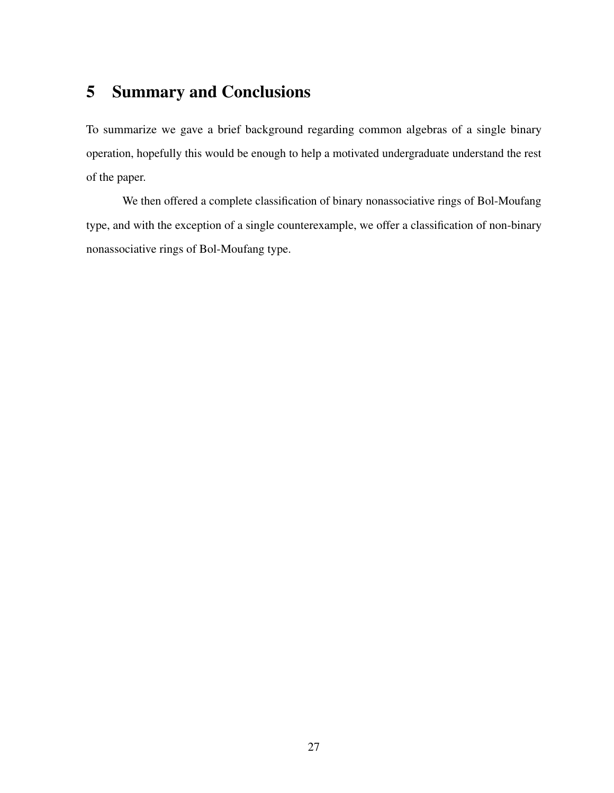# 5 Summary and Conclusions

To summarize we gave a brief background regarding common algebras of a single binary operation, hopefully this would be enough to help a motivated undergraduate understand the rest of the paper.

We then offered a complete classification of binary nonassociative rings of Bol-Moufang type, and with the exception of a single counterexample, we offer a classification of non-binary nonassociative rings of Bol-Moufang type.